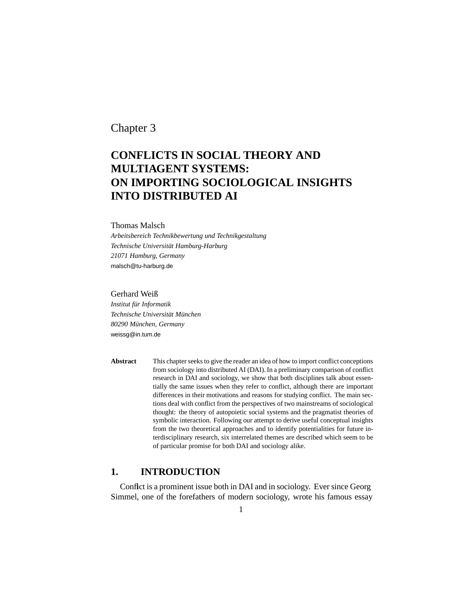# Chapter 3

# **CONFLICTS IN SOCIAL THEORY AND MULTIAGENT SYSTEMS: ON IMPORTING SOCIOLOGICAL INSIGHTS INTO DISTRIBUTED AI**

#### Thomas Malsch

*Arbeitsbereich Technikbewertung und Technikgestaltung Technische Universitat¨ Hamburg-Harburg 21071 Hamburg, Germany* malsch@tu-harburg.de

#### Gerhard Weiß

*Institut fur¨ Informatik Technische Universitat¨ Munc ¨ hen 80290 Munc ¨ hen, Germany* weissg@in.tum.de

Abstract This chapter seeks to give the reader an idea of how to import conflict conceptions from sociology into distributed AI (DAI). In a preliminary comparison of conflict research in DAI and sociology, we show that both disciplines talk about essentially the same issues when they refer to conflict, although there are important differences in their motivations and reasons for studying conflict. The main sections deal with conflict from the perspectives of two mainstreams of sociological thought: the theory of autopoietic social systems and the pragmatist theories of symbolic interaction. Following our attempt to derive useful conceptual insights from the two theoretical approaches and to identify potentialities for future interdisciplinary research, six interrelated themes are described which seem to be of particular promise for both DAI and sociology alike.

### **1. INTRODUCTION**

Conflict is a prominent issue both in DAI and in sociology. Ever since Georg Simmel, one of the forefathers of modern sociology, wrote his famous essay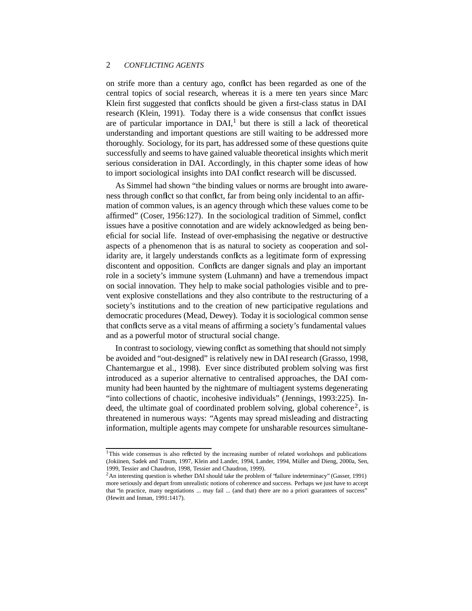on strife more than a century ago, conflict has been regarded as one of the central topics of social research, whereas it is a mere ten years since Marc Klein first suggested that conflicts should be given a first-class status in DAI research (Klein, 1991). Today there is a wide consensus that conflict issues are of particular importance in  $DAI<sub>i</sub><sup>1</sup>$  but there is still a lack of theoretical understanding and important questions are still waiting to be addressed more thoroughly. Sociology, for its part, has addressed some of these questions quite successfully and seems to have gained valuable theoretical insights which merit serious consideration in DAI. Accordingly, in this chapter some ideas of how to import sociological insights into DAI conflct research will be discussed.

As Simmel had shown "the binding values or norms are brought into awareness through conflict so that conflict, far from being only incidental to an affirmation of common values, is an agency through which these values come to be affirmed" (Coser, 1956:127). In the sociological tradition of Simmel, conflct issues have a positive connotation and are widely acknowledged as being beneficial for social life. Instead of over-emphasising the negative or destructive aspects of a phenomenon that is as natural to society as cooperation and solidarity are, it largely understands conflicts as a legitimate form of expressing discontent and opposition. Conflicts are danger signals and play an important role in a society's immune system (Luhmann) and have a tremendous impact on social innovation. They help to make social pathologies visible and to prevent explosive constellations and they also contribute to the restructuring of a society's institutions and to the creation of new participative regulations and democratic procedures (Mead, Dewey). Today it is sociological common sense that conflicts serve as a vital means of affirming a society's fundamental values and as a powerful motor of structural social change.

In contrast to sociology, viewing conflict as something that should not simply be avoided and "out-designed" is relatively new in DAI research (Grasso, 1998, Chantemargue et al., 1998). Ever since distributed problem solving was first introduced as a superior alternative to centralised approaches, the DAI community had been haunted by the nightmare of multiagent systems degenerating "into collections of chaotic, incohesive individuals" (Jennings, 1993:225). Indeed, the ultimate goal of coordinated problem solving, global coherence<sup>2</sup>, is threatened in numerous ways: "Agents may spread misleading and distracting information, multiple agents may compete for unsharable resources simultane-

<sup>&</sup>lt;sup>1</sup>This wide consensus is also reflected by the increasing number of related workshops and publications (Jokiinen, Sadek and Traum, 1997, Klein and Lander, 1994, Lander, 1994, Müller and Dieng, 2000a, Sen, 1999, Tessier and Chaudron, 1998, Tessier and Chaudron, 1999).

<sup>2</sup>An interesting question is whether DAI should take the problem of "failure indeterminacy" (Gasser, 1991) more seriously and depart from unrealistic notions of coherence and success. Perhaps we just have to accept that "in practice, many negotiations ... may fail ... (and that) there are no a priori guarantees of success" (Hewitt and Inman, 1991:1417).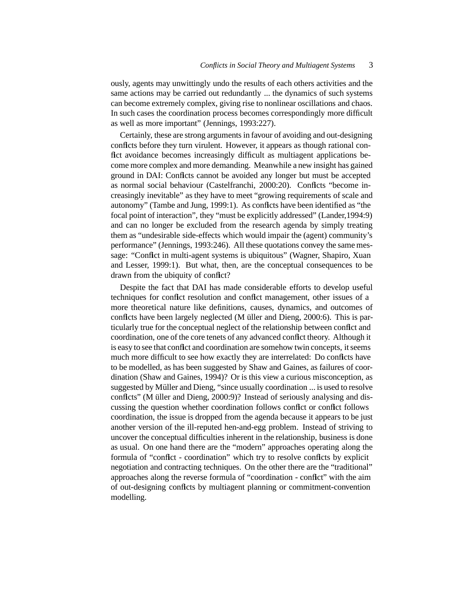ously, agents may unwittingly undo the results of each others activities and the same actions may be carried out redundantly ... the dynamics of such systems can become extremely complex, giving rise to nonlinear oscillations and chaos. In such cases the coordination process becomes correspondingly more difficult as well as more important" (Jennings, 1993:227).

Certainly, these are strong arguments in favour of avoiding and out-designing conflicts before they turn virulent. However, it appears as though rational conflict avoidance becomes increasingly difficult as multiagent applications become more complex and more demanding. Meanwhile a new insight has gained ground in DAI: Conflicts cannot be avoided any longer but must be accepted as normal social behaviour (Castelfranchi, 2000:20). Conflicts "become increasingly inevitable" as they have to meet "growing requirements of scale and autonomy" (Tambe and Jung, 1999:1). As conflicts have been identified as "the focal point of interaction", they "must be explicitly addressed" (Lander,1994:9) and can no longer be excluded from the research agenda by simply treating them as "undesirable side-effects which would impair the (agent) community's performance" (Jennings, 1993:246). All these quotations convey the same message: "Conflict in multi-agent systems is ubiquitous" (Wagner, Shapiro, Xuan and Lesser, 1999:1). But what, then, are the conceptual consequences to be drawn from the ubiquity of conflict?

Despite the fact that DAI has made considerable efforts to develop useful techniques for conflict resolution and conflict management, other issues of a more theoretical nature like definitions, causes, dynamics, and outcomes of conflicts have been largely neglected (M üller and Dieng, 2000:6). This is particularly true for the conceptual neglect of the relationship between conflict and coordination, one of the core tenets of any advanced conflict theory. Although it is easy to see that conflict and coordination are somehow twin concepts, it seems much more difficult to see how exactly they are interrelated: Do conflicts have to be modelled, as has been suggested by Shaw and Gaines, as failures of coordination (Shaw and Gaines, 1994)? Or is this view a curious misconception, as suggested by Müller and Dieng, "since usually coordination ... is used to resolve conflicts" (M uller and Dieng, 2000:9)? Instead of seriously analysing and discussing the question whether coordination follows conflict or conflict follows coordination, the issue is dropped from the agenda because it appears to be just another version of the ill-reputed hen-and-egg problem. Instead of striving to uncover the conceptual difficulties inherent in the relationship, business is done as usual. On one hand there are the "modern" approaches operating along the formula of "conflict - coordination" which try to resolve conflicts by explicit negotiation and contracting techniques. On the other there are the "traditional" approaches along the reverse formula of "coordination - conflict" with the aim of out-designing conflicts by multiagent planning or commitment-convention modelling.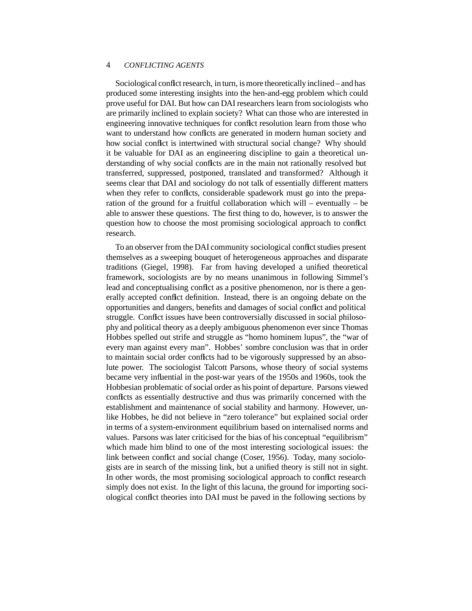Sociological conflict research, in turn, is more theoretically inclined – and has produced some interesting insights into the hen-and-egg problem which could prove useful for DAI. But how can DAI researchers learn from sociologists who are primarily inclined to explain society? What can those who are interested in engineering innovative techniques for conflct resolution learn from those who want to understand how conflicts are generated in modern human society and how social conflict is intertwined with structural social change? Why should it be valuable for DAI as an engineering discipline to gain a theoretical understanding of why social conflicts are in the main not rationally resolved but transferred, suppressed, postponed, translated and transformed? Although it seems clear that DAI and sociology do not talk of essentially different matters when they refer to conflicts, considerable spadework must go into the preparation of the ground for a fruitful collaboration which will – eventually – be able to answer these questions. The first thing to do, however, is to answer the question how to choose the most promising sociological approach to conflict research.

To an observer from the DAI community sociological conflict studies present themselves as a sweeping bouquet of heterogeneous approaches and disparate traditions (Giegel, 1998). Far from having developed a unified theoretical framework, sociologists are by no means unanimous in following Simmel's lead and conceptualising conflict as a positive phenomenon, nor is there a generally accepted conflict definition. Instead, there is an ongoing debate on the opportunities and dangers, benefits and damages of social conflict and political struggle. Conflict issues have been controversially discussed in social philosophy and political theory as a deeply ambiguous phenomenon eversince Thomas Hobbes spelled out strife and struggle as "homo hominem lupus", the "war of every man against every man". Hobbes' sombre conclusion was that in order to maintain social order conflicts had to be vigorously suppressed by an absolute power. The sociologist Talcott Parsons, whose theory of social systems became very influential in the post-war years of the 1950s and 1960s, took the Hobbesian problematic of social order as his point of departure. Parsons viewed conflicts as essentially destructive and thus was primarily concerned with the establishment and maintenance of social stability and harmony. However, unlike Hobbes, he did not believe in "zero tolerance" but explained social order in terms of a system-environment equilibrium based on internalised norms and values. Parsons was later criticised for the bias of his conceptual "equilibrism" which made him blind to one of the most interesting sociological issues: the link between conflict and social change (Coser, 1956). Today, many sociologists are in search of the missing link, but a unified theory is still not in sight. In other words, the most promising sociological approach to conflict research simply does not exist. In the light of this lacuna, the ground for importing sociological conflict theories into DAI must be paved in the following sections by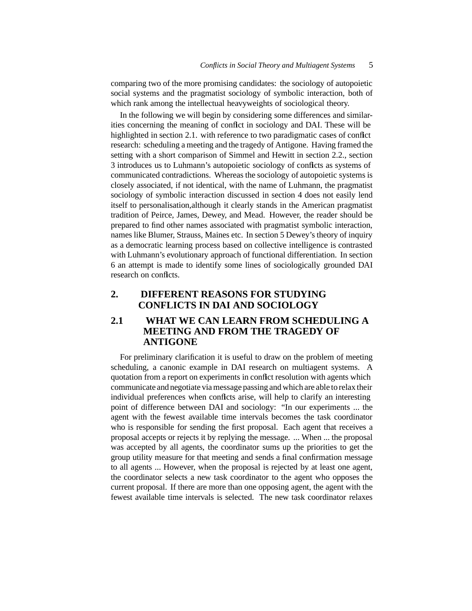comparing two of the more promising candidates: the sociology of autopoietic social systems and the pragmatist sociology of symbolic interaction, both of which rank among the intellectual heavyweights of sociological theory.

In the following we will begin by considering some differences and similarities concerning the meaning of conflict in sociology and DAI. These will be highlighted in section 2.1. with reference to two paradigmatic cases of conflict research: scheduling a meeting and the tragedy of Antigone. Having framed the setting with a short comparison of Simmel and Hewitt in section 2.2., section 3 introduces us to Luhmann's autopoietic sociology of conflicts as systems of communicated contradictions. Whereas the sociology of autopoietic systems is closely associated, if not identical, with the name of Luhmann, the pragmatist sociology of symbolic interaction discussed in section 4 does not easily lend itself to personalisation,although it clearly stands in the American pragmatist tradition of Peirce, James, Dewey, and Mead. However, the reader should be prepared to find other names associated with pragmatist symbolic interaction, names like Blumer, Strauss, Maines etc. In section 5 Dewey's theory of inquiry as a democratic learning process based on collective intelligence is contrasted with Luhmann's evolutionary approach of functional differentiation. In section 6 an attempt is made to identify some lines of sociologically grounded DAI research on conflicts.

# **2. DIFFERENT REASONS FOR STUDYING CONFLICTS IN DAI AND SOCIOLOGY**

# **2.1 WHAT WE CAN LEARN FROM SCHEDULING A MEETING AND FROM THE TRAGEDY OF ANTIGONE**

For preliminary clarification it is useful to draw on the problem of meeting scheduling, a canonic example in DAI research on multiagent systems. A quotation from a report on experiments in conflct resolution with agents which communicate and negotiate via message passing and which are able to relax their individual preferences when conflicts arise, will help to clarify an interesting point of difference between DAI and sociology: "In our experiments ... the agent with the fewest available time intervals becomes the task coordinator who is responsible for sending the first proposal. Each agent that receives a proposal accepts or rejects it by replying the message. ... When ... the proposal was accepted by all agents, the coordinator sums up the priorities to get the group utility measure for that meeting and sends a final confirmation message to all agents ... However, when the proposal is rejected by at least one agent, the coordinator selects a new task coordinator to the agent who opposes the current proposal. If there are more than one opposing agent, the agent with the fewest available time intervals is selected. The new task coordinator relaxes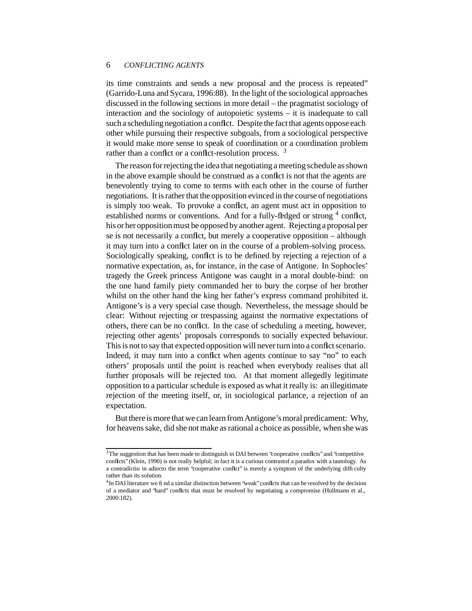its time constraints and sends a new proposal and the process is repeated" (Garrido-Luna and Sycara, 1996:88). In the light of the sociological approaches discussed in the following sections in more detail – the pragmatist sociology of interaction and the sociology of autopoietic systems – it is inadequate to call such a scheduling negotiation a conflict. Despite the fact that agents oppose each other while pursuing their respective subgoals, from a sociological perspective it would make more sense to speak of coordination or a coordination problem rather than a conflict or a conflict-resolution process.  $3$ 

The reason for rejecting the idea that negotiating a meeting schedule as shown in the above example should be construed as a conflict is not that the agents are benevolently trying to come to terms with each other in the course of further negotiations. It israther that the opposition evinced in the course of negotiations is simply too weak. To provoke a conflict, an agent must act in opposition to established norms or conventions. And for a fully-fedged or strong <sup>4</sup> conflct, his or her opposition must be opposed by another agent. Rejecting a proposal per se is not necessarily a conflict, but merely a cooperative opposition – although it may turn into a conflict later on in the course of a problem-solving process. Sociologically speaking, conflict is to be defined by rejecting a rejection of a normative expectation, as, for instance, in the case of Antigone. In Sophocles' tragedy the Greek princess Antigone was caught in a moral double-bind: on the one hand family piety commanded her to bury the corpse of her brother whilst on the other hand the king her father's express command prohibited it. Antigone's is a very special case though. Nevertheless, the message should be clear: Without rejecting or trespassing against the normative expectations of others, there can be no conflict. In the case of scheduling a meeting, however, rejecting other agents' proposals corresponds to socially expected behaviour. This is not to say that expected opposition will never turn into a conflict scenario. Indeed, it may turn into a conflict when agents continue to say "no" to each others' proposals until the point is reached when everybody realises that all further proposals will be rejected too. At that moment allegedly legitimate opposition to a particular schedule is exposed as what it really is: an illegitimate rejection of the meeting itself, or, in sociological parlance, a rejection of an expectation.

But there is more that we can learn from Antigone's moral predicament: Why, for heavens sake, did she not make as rational a choice as possible, when she was

<sup>&</sup>lt;sup>3</sup>The suggestion that has been made to distinguish in DAI between "cooperative conflcts" and "competitive conflicts" (Klein, 1990) is not really helpful; in fact it is a curious contrastof a paradox with a tautology. As a contradictio in adiecto the term "cooperative conflict" is merely a symptom of the underlying difficulty rather than its solution.

<sup>4</sup> In DAI literature we find a similar distinction between "weak" conflicts that can be resolved by the decision of a mediator and "hard" conflicts that must be resolved by negotiating a compromise (Hollmann et al., 2000:182).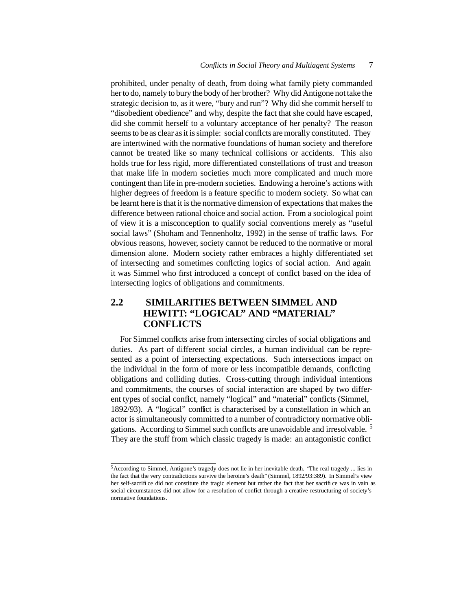prohibited, under penalty of death, from doing what family piety commanded herto do, namely to bury the body of her brother? Why did Antigone not take the strategic decision to, as it were, "bury and run"? Why did she commit herself to "disobedient obedience" and why, despite the fact that she could have escaped, did she commit herself to a voluntary acceptance of her penalty? The reason seems to be as clear as it is simple: social conflicts are morally constituted. They are intertwined with the normative foundations of human society and therefore cannot be treated like so many technical collisions or accidents. This also holds true for less rigid, more differentiated constellations of trust and treason that make life in modern societies much more complicated and much more contingent than life in pre-modern societies. Endowing a heroine's actions with higher degrees of freedom is a feature specific to modern society. So what can be learnt here is that it is the normative dimension of expectations that makes the difference between rational choice and social action. From a sociological point of view it is a misconception to qualify social conventions merely as "useful social laws" (Shoham and Tennenholtz, 1992) in the sense of traffic laws. For obvious reasons, however, society cannot be reduced to the normative or moral dimension alone. Modern society rather embraces a highly differentiated set of intersecting and sometimes conflcting logics of social action. And again it was Simmel who first introduced a concept of conflict based on the idea of intersecting logics of obligations and commitments.

# **2.2 SIMILARITIES BETWEEN SIMMEL AND HEWITT: "LOGICAL" AND "MATERIAL" CONFLICTS**

For Simmel conflicts arise from intersecting circles of social obligations and duties. As part of different social circles, a human individual can be represented as a point of intersecting expectations. Such intersections impact on the individual in the form of more or less incompatible demands, conflcting obligations and colliding duties. Cross-cutting through individual intentions and commitments, the courses of social interaction are shaped by two different types of social conflict, namely "logical" and "material" conflicts (Simmel, 1892/93). A "logical" conflict is characterised by a constellation in which an actor issimultaneously committed to a number of contradictory normative obligations. According to Simmel such conflicts are unavoidable and irresolvable.<sup>5</sup> They are the stuff from which classic tragedy is made: an antagonistic conflict

<sup>5</sup>According to Simmel, Antigone's tragedy does not lie in her inevitable death. "The real tragedy ... lies in the fact that the very contradictions survive the heroine's death" (Simmel, 1892/93:389). In Simmel's view her self-sacrifice did not constitute the tragic element but rather the fact that her sacrifice was in vain as social circumstances did not allow for a resolution of conflct through a creative restructuring of society's normative foundations.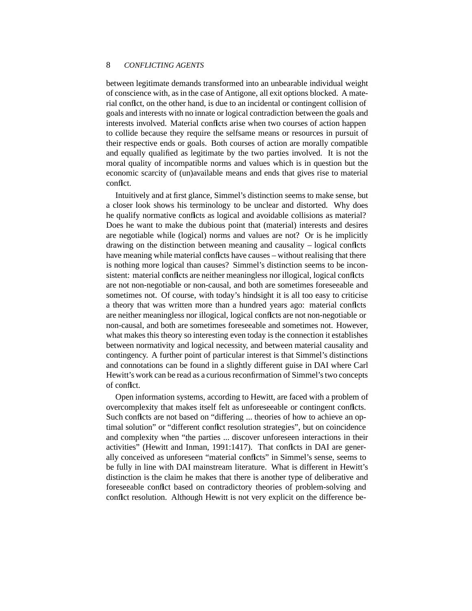between legitimate demands transformed into an unbearable individual weight of conscience with, as in the case of Antigone, all exit options blocked. A material conflict, on the other hand, is due to an incidental or contingent collision of goals and interests with no innate or logical contradiction between the goals and interests involved. Material conflcts arise when two courses of action happen to collide because they require the selfsame means or resources in pursuit of their respective ends or goals. Both courses of action are morally compatible and equally qualified as legitimate by the two parties involved. It is not the moral quality of incompatible norms and values which is in question but the economic scarcity of (un)available means and ends that gives rise to material conflct.

Intuitively and at first glance, Simmel's distinction seems to make sense, but a closer look shows his terminology to be unclear and distorted. Why does he qualify normative conflicts as logical and avoidable collisions as material? Does he want to make the dubious point that (material) interests and desires are negotiable while (logical) norms and values are not? Or is he implicitly drawing on the distinction between meaning and causality – logical conflicts have meaning while material conflicts have causes – without realising that there is nothing more logical than causes? Simmel's distinction seems to be inconsistent: material conflcts are neither meaningless nor illogical, logical conflcts are not non-negotiable or non-causal, and both are sometimes foreseeable and sometimes not. Of course, with today's hindsight it is all too easy to criticise a theory that was written more than a hundred years ago: material conflicts are neither meaningless nor illogical, logical conflicts are not non-negotiable or non-causal, and both are sometimes foreseeable and sometimes not. However, what makes this theory so interesting even today is the connection it establishes between normativity and logical necessity, and between material causality and contingency. A further point of particular interest is that Simmel's distinctions and connotations can be found in a slightly different guise in DAI where Carl Hewitt's work can be read as a curious reconfirmation of Simmel'stwo concepts of conflict.

Open information systems, according to Hewitt, are faced with a problem of overcomplexity that makes itself felt as unforeseeable or contingent conflcts. Such conflicts are not based on "differing ... theories of how to achieve an optimal solution" or "different conflict resolution strategies", but on coincidence and complexity when "the parties ... discover unforeseen interactions in their activities" (Hewitt and Inman, 1991:1417). That conflicts in DAI are generally conceived as unforeseen "material conflcts" in Simmel's sense, seems to be fully in line with DAI mainstream literature. What is different in Hewitt's distinction is the claim he makes that there is another type of deliberative and foreseeable conflict based on contradictory theories of problem-solving and conflict resolution. Although Hewitt is not very explicit on the difference be-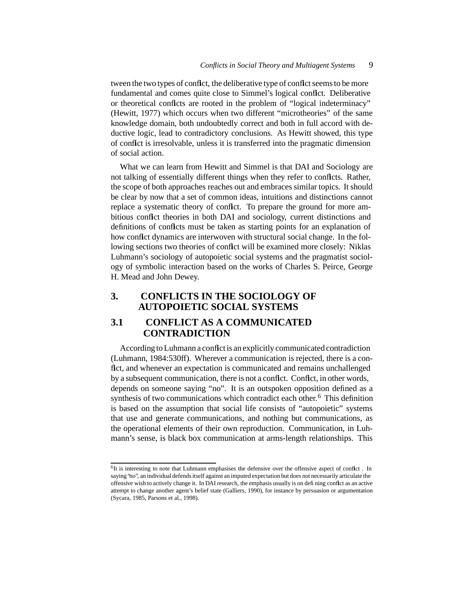tween the two types of conflict, the deliberative type of conflict seems to be more fundamental and comes quite close to Simmel's logical conflict. Deliberative or theoretical conflicts are rooted in the problem of "logical indeterminacy" (Hewitt, 1977) which occurs when two different "microtheories" of the same knowledge domain, both undoubtedly correct and both in full accord with deductive logic, lead to contradictory conclusions. As Hewitt showed, this type of conflict is irresolvable, unless it is transferred into the pragmatic dimension of social action.

What we can learn from Hewitt and Simmel is that DAI and Sociology are not talking of essentially different things when they refer to conflicts. Rather, the scope of both approaches reaches out and embraces similar topics. It should be clear by now that a set of common ideas, intuitions and distinctions cannot replace a systematic theory of conflict. To prepare the ground for more ambitious conflict theories in both DAI and sociology, current distinctions and definitions of conflicts must be taken as starting points for an explanation of how conflet dynamics are interwoven with structural social change. In the following sections two theories of conflct will be examined more closely: Niklas Luhmann's sociology of autopoietic social systems and the pragmatist sociology of symbolic interaction based on the works of Charles S. Peirce, George H. Mead and John Dewey.

# **3. CONFLICTS IN THE SOCIOLOGY OF AUTOPOIETIC SOCIAL SYSTEMS**

# **3.1 CONFLICT AS A COMMUNICATED CONTRADICTION**

According to Luhmann a conflict is an explicitly communicated contradiction (Luhmann, 1984:530ff). Wherever a communication is rejected, there is a conflict, and whenever an expectation is communicated and remains unchallenged by a subsequent communication, there is not a conflict. Conflict, in other words, depends on someone saying "no". It is an outspoken opposition defined as a synthesis of two communications which contradict each other. <sup>6</sup> This definition is based on the assumption that social life consists of "autopoietic" systems that use and generate communications, and nothing but communications, as the operational elements of their own reproduction. Communication, in Luhmann's sense, is black box communication at arms-length relationships. This

<sup>&</sup>lt;sup>6</sup>It is interesting to note that Luhmann emphasises the defensive over the offensive aspect of conflict. In saying "no", an individual defendsitself against an imputed expectation but does not necessarily articulate the offensive wish to actively change it. In DAI research, the emphasis usually is on defining conflict as an active attempt to change another agent's belief state (Galliers, 1990), for instance by persuasion or argumentation (Sycara, 1985, Parsons et al., 1998).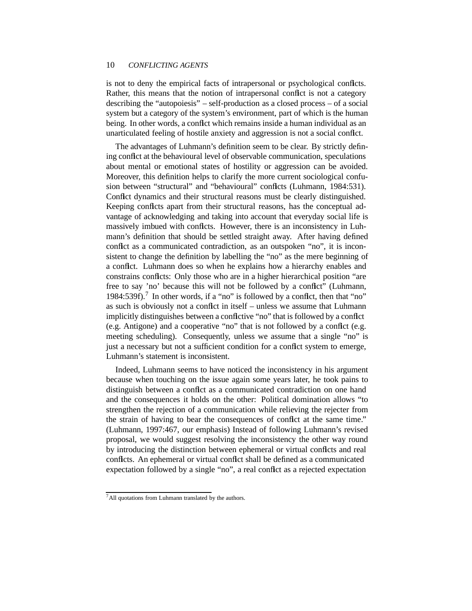is not to deny the empirical facts of intrapersonal or psychological conflicts. Rather, this means that the notion of intrapersonal conflict is not a category describing the "autopoiesis" – self-production as a closed process – of a social system but a category of the system's environment, part of which is the human being. In other words, a conflct which remains inside a human individual as an unarticulated feeling of hostile anxiety and aggression is not a social conflict.

The advantages of Luhmann's definition seem to be clear. By strictly defining conflict at the behavioural level of observable communication, speculations about mental or emotional states of hostility or aggression can be avoided. Moreover, this definition helps to clarify the more current sociological confusion between "structural" and "behavioural" conflcts (Luhmann, 1984:531). Conflict dynamics and their structural reasons must be clearly distinguished. Keeping conflicts apart from their structural reasons, has the conceptual advantage of acknowledging and taking into account that everyday social life is massively imbued with conflicts. However, there is an inconsistency in Luhmann's definition that should be settled straight away. After having defined conflict as a communicated contradiction, as an outspoken "no", it is inconsistent to change the definition by labelling the "no" as the mere beginning of a conflict. Luhmann does so when he explains how a hierarchy enables and constrains conflicts: Only those who are in a higher hierarchical position "are free to say 'no' because this will not be followed by a conflict" (Luhmann, 1984:539f).<sup>7</sup> In other words, if a "no" is followed by a conflict, then that "no" as such is obviously not a conflict in itself – unless we assume that Luhmann implicitly distinguishes between a conflictive "no" that is followed by a conflict (e.g. Antigone) and a cooperative "no" that is not followed by a conflict (e.g. meeting scheduling). Consequently, unless we assume that a single "no" is just a necessary but not a sufficient condition for a conflict system to emerge, Luhmann's statement is inconsistent.

Indeed, Luhmann seems to have noticed the inconsistency in his argument because when touching on the issue again some years later, he took pains to distinguish between a conflct as a communicated contradiction on one hand and the consequences it holds on the other: Political domination allows "to strengthen the rejection of a communication while relieving the rejecter from the strain of having to bear the consequences of conflict at the same time." (Luhmann, 1997:467, our emphasis) Instead of following Luhmann's revised proposal, we would suggest resolving the inconsistency the other way round by introducing the distinction between ephemeral or virtual conflicts and real conflicts. An ephemeral or virtual conflict shall be defined as a communicated expectation followed by a single "no", a real conflict as a rejected expectation

 $<sup>7</sup>$ All quotations from Luhmann translated by the authors.</sup>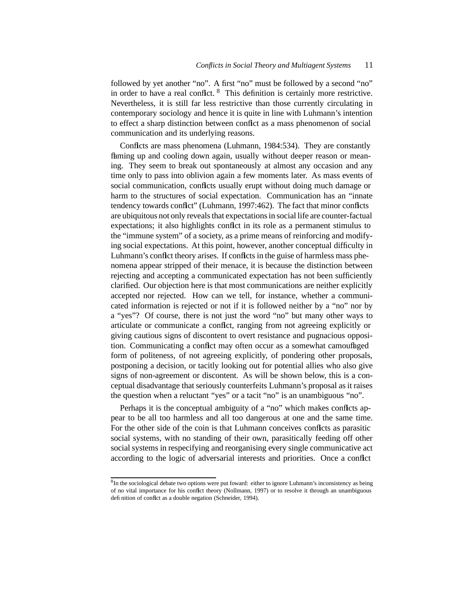followed by yet another "no". A first "no" must be followed by a second "no" in order to have a real conflict.  $8$  This definition is certainly more restrictive. Nevertheless, it is still far less restrictive than those currently circulating in contemporary sociology and hence it is quite in line with Luhmann's intention to effect a sharp distinction between conflct as a mass phenomenon of social communication and its underlying reasons.

Conflicts are mass phenomena (Luhmann, 1984:534). They are constantly flaming up and cooling down again, usually without deeper reason or meaning. They seem to break out spontaneously at almost any occasion and any time only to pass into oblivion again a few moments later. As mass events of social communication, conflcts usually erupt without doing much damage or harm to the structures of social expectation. Communication has an "innate tendency towards conflict" (Luhmann, 1997:462). The fact that minor conflicts are ubiquitous not only reveals that expectations in social life are counter-factual expectations; it also highlights conflict in its role as a permanent stimulus to the "immune system" of a society, as a prime means of reinforcing and modifying social expectations. At this point, however, another conceptual difficulty in Luhmann's conflict theory arises. If conflicts in the guise of harmless mass phenomena appear stripped of their menace, it is because the distinction between rejecting and accepting a communicated expectation has not been sufficiently clarified. Our objection here is that most communications are neither explicitly accepted nor rejected. How can we tell, for instance, whether a communicated information is rejected or not if it is followed neither by a "no" nor by a "yes"? Of course, there is not just the word "no" but many other ways to articulate or communicate a conflict, ranging from not agreeing explicitly or giving cautious signs of discontent to overt resistance and pugnacious opposition. Communicating a conflict may often occur as a somewhat camouflaged form of politeness, of not agreeing explicitly, of pondering other proposals, postponing a decision, or tacitly looking out for potential allies who also give signs of non-agreement or discontent. As will be shown below, this is a conceptual disadvantage that seriously counterfeits Luhmann's proposal as it raises the question when a reluctant "yes" or a tacit "no" is an unambiguous "no".

Perhaps it is the conceptual ambiguity of a "no" which makes conflicts appear to be all too harmless and all too dangerous at one and the same time. For the other side of the coin is that Luhmann conceives conflicts as parasitic social systems, with no standing of their own, parasitically feeding off other social systems in respecifying and reorganising every single communicative act according to the logic of adversarial interests and priorities. Once a conflict

<sup>&</sup>lt;sup>8</sup>In the sociological debate two options were put foward: either to ignore Luhmann's inconsistency as being of no vital importance for his conflict theory (Nollmann, 1997) or to resolve it through an unambiguous definition of conflict as a double negation (Schneider, 1994).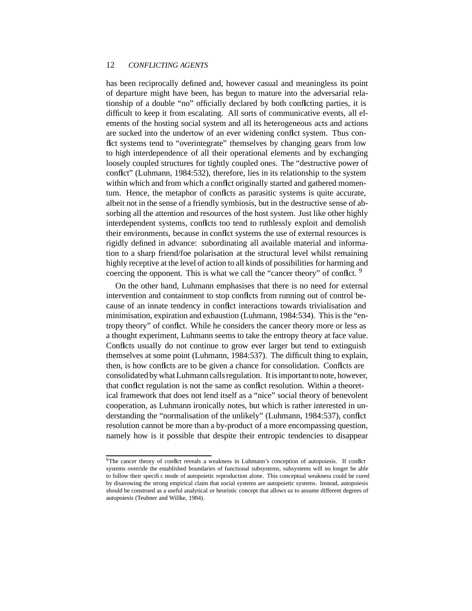has been reciprocally defined and, however casual and meaningless its point of departure might have been, has begun to mature into the adversarial relationship of a double "no" officially declared by both conflicting parties, it is difficult to keep it from escalating. All sorts of communicative events, all elements of the hosting social system and all its heterogeneous acts and actions are sucked into the undertow of an ever widening conflict system. Thus conflict systems tend to "overintegrate" themselves by changing gears from low to high interdependence of all their operational elements and by exchanging loosely coupled structures for tightly coupled ones. The "destructive power of conflict" (Luhmann, 1984:532), therefore, lies in its relationship to the system within which and from which a conflict originally started and gathered momentum. Hence, the metaphor of conflicts as parasitic systems is quite accurate, albeit not in the sense of a friendly symbiosis, but in the destructive sense of absorbing all the attention and resources of the host system. Just like other highly interdependent systems, conflicts too tend to ruthlessly exploit and demolish their environments, because in conflict systems the use of external resources is rigidly defined in advance: subordinating all available material and information to a sharp friend/foe polarisation at the structural level whilst remaining highly receptive at the level of action to all kinds of possibilities for harming and coercing the opponent. This is what we call the "cancer theory" of conflict. <sup>9</sup>

On the other hand, Luhmann emphasises that there is no need for external intervention and containment to stop conflicts from running out of control because of an innate tendency in conflict interactions towards trivialisation and minimisation, expiration and exhaustion (Luhmann, 1984:534). This is the "entropy theory" of conflict. While he considers the cancer theory more or less as a thought experiment, Luhmann seems to take the entropy theory at face value. Conflicts usually do not continue to grow ever larger but tend to extinguish themselves at some point (Luhmann, 1984:537). The difficult thing to explain, then, is how conflicts are to be given a chance for consolidation. Conflicts are consolidated bywhatLuhmann callsregulation. It isimportant to note, however, that conflict regulation is not the same as conflict resolution. Within a theoretical framework that does not lend itself as a "nice" social theory of benevolent cooperation, as Luhmann ironically notes, but which is rather interested in understanding the "normalisation of the unlikely" (Luhmann, 1984:537), conflct resolution cannot be more than a by-product of a more encompassing question, namely how is it possible that despite their entropic tendencies to disappear

<sup>&</sup>lt;sup>9</sup>The cancer theory of conflict reveals a weakness in Luhmann's conception of autopoiesis. If conflict systems override the established boundaries of functional subsystems, subsystems will no longer be able to follow their specific mode of autopoietic reproduction alone. This conceptual weakness could be cured by disavowing the strong empirical claim that social systems are autopoietic systems. Instead, autopoiesis should be construed as a useful analytical or heuristic concept that allows us to assume different degrees of autopoiesis (Teubner and Willke, 1984).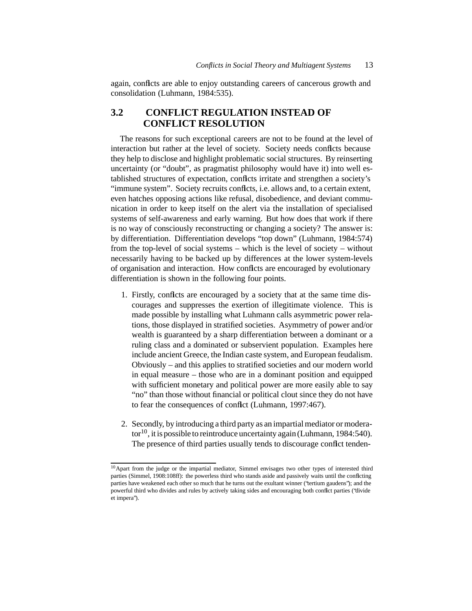again, conflicts are able to enjoy outstanding careers of cancerous growth and consolidation (Luhmann, 1984:535).

# **3.2 CONFLICT REGULATION INSTEAD OF CONFLICT RESOLUTION**

The reasons for such exceptional careers are not to be found at the level of interaction but rather at the level of society. Society needs conflcts because they help to disclose and highlight problematic social structures. By reinserting uncertainty (or "doubt", as pragmatist philosophy would have it) into well established structures of expectation, conflicts irritate and strengthen a society's "immune system". Society recruits conflicts, i.e. allows and, to a certain extent, even hatches opposing actions like refusal, disobedience, and deviant communication in order to keep itself on the alert via the installation of specialised systems of self-awareness and early warning. But how does that work if there is no way of consciously reconstructing or changing a society? The answer is: by differentiation. Differentiation develops "top down" (Luhmann, 1984:574) from the top-level of social systems – which is the level of society – without necessarily having to be backed up by differences at the lower system-levels of organisation and interaction. How conflicts are encouraged by evolutionary differentiation is shown in the following four points.

- 1. Firstly, conflicts are encouraged by a society that at the same time discourages and suppresses the exertion of illegitimate violence. This is made possible by installing what Luhmann calls asymmetric power relations, those displayed in stratified societies. Asymmetry of power and/or wealth is guaranteed by a sharp differentiation between a dominant or a ruling class and a dominated or subservient population. Examples here include ancient Greece, the Indian caste system, and European feudalism. Obviously – and this applies to stratified societies and our modern world in equal measure – those who are in a dominant position and equipped with sufficient monetary and political power are more easily able to say "no" than those without financial or political clout since they do not have to fear the consequences of conflict (Luhmann, 1997:467).
- 2. Secondly, by introducing a third party as an impartial mediator or moderator<sup>10</sup>, it is possible to reintroduce uncertainty again (Luhmann, 1984:540). The presence of third parties usually tends to discourage conflict tenden-

 $10$ Apart from the judge or the impartial mediator, Simmel envisages two other types of interested third parties (Simmel, 1908:108ff): the powerless third who stands aside and passively waits until the conflicting parties have weakened each other so much that he turns out the exultant winner ("tertium gaudens"); and the powerful third who divides and rules by actively taking sides and encouraging both conflict parties ("divide et impera").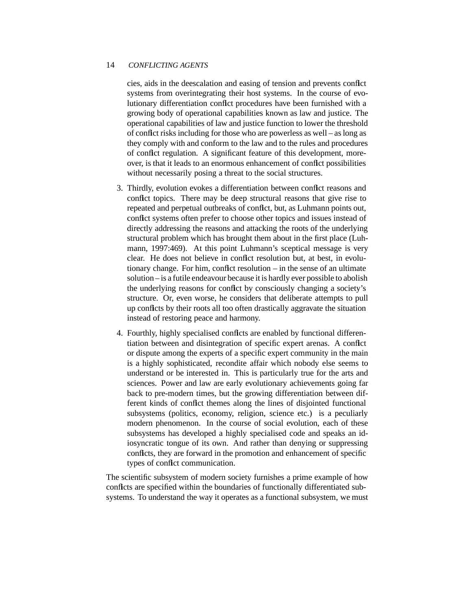cies, aids in the deescalation and easing of tension and prevents conflict systems from overintegrating their host systems. In the course of evolutionary differentiation conflct procedures have been furnished with a growing body of operational capabilities known as law and justice. The operational capabilities of law and justice function to lower the threshold of conflict risks including for those who are powerless as well – as long as they comply with and conform to the law and to the rules and procedures of conflict regulation. A significant feature of this development, moreover, is that it leads to an enormous enhancement of conflct possibilities without necessarily posing a threat to the social structures.

- 3. Thirdly, evolution evokes a differentiation between conflict reasons and conflict topics. There may be deep structural reasons that give rise to repeated and perpetual outbreaks of conflict, but, as Luhmann points out, conflict systems often prefer to choose other topics and issues instead of directly addressing the reasons and attacking the roots of the underlying structural problem which has brought them about in the first place (Luhmann, 1997:469). At this point Luhmann's sceptical message is very clear. He does not believe in conflct resolution but, at best, in evolutionary change. For him, conflict resolution  $-$  in the sense of an ultimate solution – is a futile endeavour because it is hardly ever possible to abolish the underlying reasons for conflict by consciously changing a society's structure. Or, even worse, he considers that deliberate attempts to pull up conflicts by their roots all too often drastically aggravate the situation instead of restoring peace and harmony.
- 4. Fourthly, highly specialised conflicts are enabled by functional differentiation between and disintegration of specific expert arenas. A conflct or dispute among the experts of a specific expert community in the main is a highly sophisticated, recondite affair which nobody else seems to understand or be interested in. This is particularly true for the arts and sciences. Power and law are early evolutionary achievements going far back to pre-modern times, but the growing differentiation between different kinds of conflict themes along the lines of disjointed functional subsystems (politics, economy, religion, science etc.) is a peculiarly modern phenomenon. In the course of social evolution, each of these subsystems has developed a highly specialised code and speaks an idiosyncratic tongue of its own. And rather than denying or suppressing conflicts, they are forward in the promotion and enhancement of specific types of conflct communication.

The scientific subsystem of modern society furnishes a prime example of how conflicts are specified within the boundaries of functionally differentiated subsystems. To understand the way it operates as a functional subsystem, we must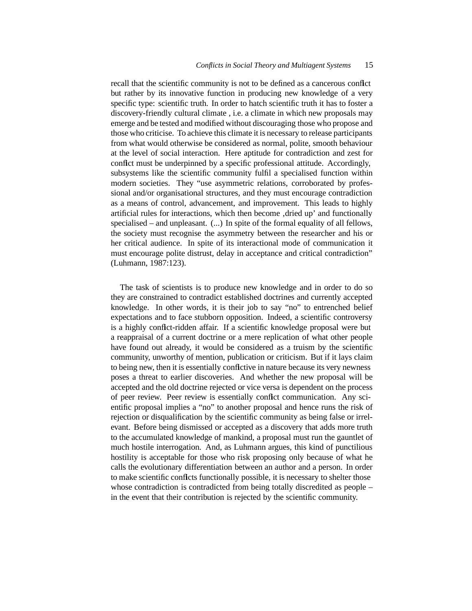recall that the scientific community is not to be defined as a cancerous conflict but rather by its innovative function in producing new knowledge of a very specific type: scientific truth. In order to hatch scientific truth it has to foster a discovery-friendly cultural climate , i.e. a climate in which new proposals may emerge and be tested and modified without discouraging those who propose and those who criticise. To achieve this climate it is necessary to release participants from what would otherwise be considered as normal, polite, smooth behaviour at the level of social interaction. Here aptitude for contradiction and zest for conflict must be underpinned by a specific professional attitude. Accordingly, subsystems like the scientific community fulfil a specialised function within modern societies. They "use asymmetric relations, corroborated by professional and/or organisational structures, and they must encourage contradiction as a means of control, advancement, and improvement. This leads to highly artificial rules for interactions, which then become , dried up' and functionally specialised – and unpleasant. (...) In spite of the formal equality of all fellows, the society must recognise the asymmetry between the researcher and his or her critical audience. In spite of its interactional mode of communication it must encourage polite distrust, delay in acceptance and critical contradiction" (Luhmann, 1987:123).

The task of scientists is to produce new knowledge and in order to do so they are constrained to contradict established doctrines and currently accepted knowledge. In other words, it is their job to say "no" to entrenched belief expectations and to face stubborn opposition. Indeed, a scientific controversy is a highly conflict-ridden affair. If a scientific knowledge proposal were but a reappraisal of a current doctrine or a mere replication of what other people have found out already, it would be considered as a truism by the scientific community, unworthy of mention, publication or criticism. But if it lays claim to being new, then it is essentially conflictive in nature because its very newness poses a threat to earlier discoveries. And whether the new proposal will be accepted and the old doctrine rejected or vice versa is dependent on the process of peer review. Peer review is essentially conflict communication. Any scientific proposal implies a "no" to another proposal and hence runs the risk of rejection or disqualification by the scientific community as being false or irrelevant. Before being dismissed or accepted as a discovery that adds more truth to the accumulated knowledge of mankind, a proposal must run the gauntlet of much hostile interrogation. And, as Luhmann argues, this kind of punctilious hostility is acceptable for those who risk proposing only because of what he calls the evolutionary differentiation between an author and a person. In order to make scientific conflicts functionally possible, it is necessary to shelter those whose contradiction is contradicted from being totally discredited as people – in the event that their contribution is rejected by the scientific community.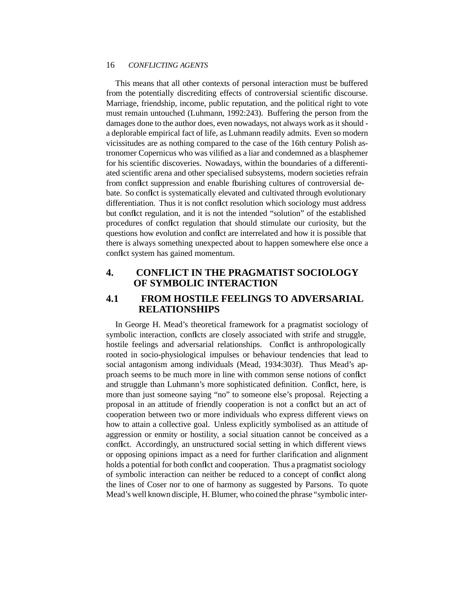This means that all other contexts of personal interaction must be buffered from the potentially discrediting effects of controversial scientific discourse. Marriage, friendship, income, public reputation, and the political right to vote must remain untouched (Luhmann, 1992:243). Buffering the person from the damages done to the author does, even nowadays, not always work as it should a deplorable empirical fact of life, as Luhmann readily admits. Even so modern vicissitudes are as nothing compared to the case of the 16th century Polish astronomer Copernicus who was vilified as a liar and condemned as a blasphemer for his scientific discoveries. Nowadays, within the boundaries of a differentiated scientific arena and other specialised subsystems, modern societies refrain from conflict suppression and enable fburishing cultures of controversial debate. So conflict is systematically elevated and cultivated through evolutionary differentiation. Thus it is not conflict resolution which sociology must address but conflict regulation, and it is not the intended "solution" of the established procedures of conflict regulation that should stimulate our curiosity, but the questions how evolution and conflict are interrelated and how it is possible that there is always something unexpected about to happen somewhere else once a conflct system has gained momentum.

### **4. CONFLICT IN THE PRAGMATIST SOCIOLOGY OF SYMBOLIC INTERACTION**

# **4.1 FROM HOSTILE FEELINGS TO ADVERSARIAL RELATIONSHIPS**

In George H. Mead's theoretical framework for a pragmatist sociology of symbolic interaction, conflcts are closely associated with strife and struggle, hostile feelings and adversarial relationships. Conflict is anthropologically rooted in socio-physiological impulses or behaviour tendencies that lead to social antagonism among individuals (Mead, 1934:303f). Thus Mead's approach seems to be much more in line with common sense notions of conflict and struggle than Luhmann's more sophisticated definition. Conflict, here, is more than just someone saying "no" to someone else's proposal. Rejecting a proposal in an attitude of friendly cooperation is not a conflict but an act of cooperation between two or more individuals who express different views on how to attain a collective goal. Unless explicitly symbolised as an attitude of aggression or enmity or hostility, a social situation cannot be conceived as a conflict. Accordingly, an unstructured social setting in which different views or opposing opinions impact as a need for further clarification and alignment holds a potential for both conflict and cooperation. Thus a pragmatist sociology of symbolic interaction can neither be reduced to a concept of conflict along the lines of Coser nor to one of harmony as suggested by Parsons. To quote Mead's well known disciple, H.Blumer, who coined the phrase "symbolic inter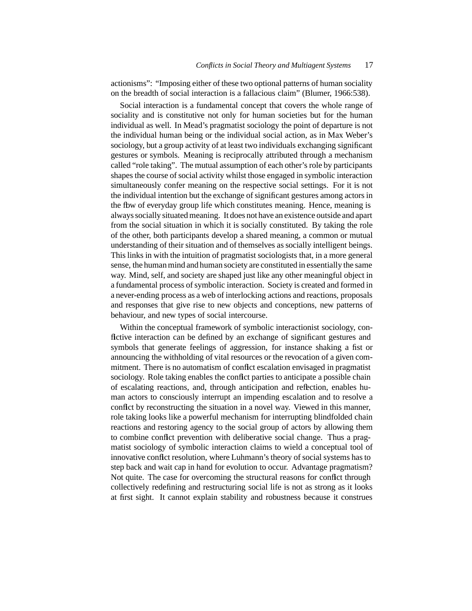actionisms": "Imposing either of these two optional patterns of human sociality on the breadth of social interaction is a fallacious claim" (Blumer, 1966:538).

Social interaction is a fundamental concept that covers the whole range of sociality and is constitutive not only for human societies but for the human individual as well. In Mead's pragmatist sociology the point of departure is not the individual human being or the individual social action, as in Max Weber's sociology, but a group activity of at least two individuals exchanging significant gestures or symbols. Meaning is reciprocally attributed through a mechanism called "role taking". The mutual assumption of each other's role by participants shapes the course of social activity whilst those engaged in symbolic interaction simultaneously confer meaning on the respective social settings. For it is not the individual intention but the exchange of significant gestures among actors in the flow of everyday group life which constitutes meaning. Hence, meaning is alwayssocially situated meaning. It does not have an existence outside and apart from the social situation in which it is socially constituted. By taking the role of the other, both participants develop a shared meaning, a common or mutual understanding of their situation and of themselves as socially intelligent beings. This links in with the intuition of pragmatist sociologists that, in a more general sense, the human mind and human society are constituted in essentially the same way. Mind, self, and society are shaped just like any other meaningful object in a fundamental process of symbolic interaction. Society is created and formed in a never-ending process as a web of interlocking actions and reactions, proposals and responses that give rise to new objects and conceptions, new patterns of behaviour, and new types of social intercourse.

Within the conceptual framework of symbolic interactionist sociology, confictive interaction can be defined by an exchange of significant gestures and symbols that generate feelings of aggression, for instance shaking a fist or announcing the withholding of vital resources or the revocation of a given commitment. There is no automatism of conflict escalation envisaged in pragmatist sociology. Role taking enables the conflict parties to anticipate a possible chain of escalating reactions, and, through anticipation and reflection, enables human actors to consciously interrupt an impending escalation and to resolve a conflict by reconstructing the situation in a novel way. Viewed in this manner, role taking looks like a powerful mechanism for interrupting blindfolded chain reactions and restoring agency to the social group of actors by allowing them to combine conflict prevention with deliberative social change. Thus a pragmatist sociology of symbolic interaction claims to wield a conceptual tool of innovative conflct resolution, where Luhmann's theory of social systems has to step back and wait cap in hand for evolution to occur. Advantage pragmatism? Not quite. The case for overcoming the structural reasons for conflict through collectively redefining and restructuring social life is not as strong as it looks at first sight. It cannot explain stability and robustness because it construes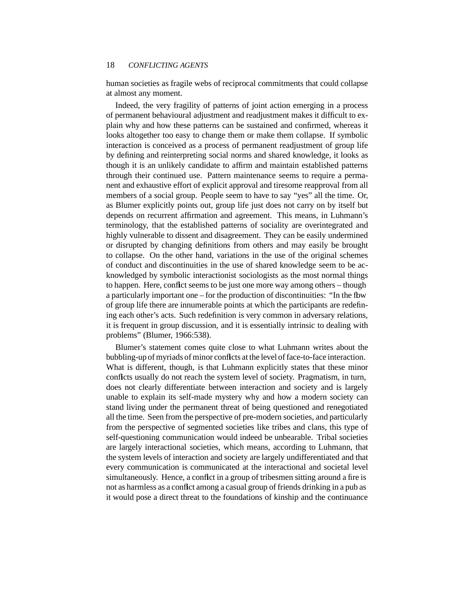human societies as fragile webs of reciprocal commitments that could collapse at almost any moment.

Indeed, the very fragility of patterns of joint action emerging in a process of permanent behavioural adjustment and readjustment makes it difficult to explain why and how these patterns can be sustained and confirmed, whereas it looks altogether too easy to change them or make them collapse. If symbolic interaction is conceived as a process of permanent readjustment of group life by defining and reinterpreting social norms and shared knowledge, it looks as though it is an unlikely candidate to affirm and maintain established patterns through their continued use. Pattern maintenance seems to require a permanent and exhaustive effort of explicit approval and tiresome reapproval from all members of a social group. People seem to have to say "yes" all the time. Or, as Blumer explicitly points out, group life just does not carry on by itself but depends on recurrent affirmation and agreement. This means, in Luhmann's terminology, that the established patterns of sociality are overintegrated and highly vulnerable to dissent and disagreement. They can be easily undermined or disrupted by changing definitions from others and may easily be brought to collapse. On the other hand, variations in the use of the original schemes of conduct and discontinuities in the use of shared knowledge seem to be acknowledged by symbolic interactionist sociologists as the most normal things to happen. Here, conflict seems to be just one more way among others – though a particularly important one – for the production of discontinuities: "In the flow of group life there are innumerable points at which the participants are redefining each other's acts. Such redefinition is very common in adversary relations, it is frequent in group discussion, and it is essentially intrinsic to dealing with problems" (Blumer, 1966:538).

Blumer's statement comes quite close to what Luhmann writes about the bubbling-up of myriads of minor conflicts at the level of face-to-face interaction. What is different, though, is that Luhmann explicitly states that these minor conflcts usually do not reach the system level of society. Pragmatism, in turn, does not clearly differentiate between interaction and society and is largely unable to explain its self-made mystery why and how a modern society can stand living under the permanent threat of being questioned and renegotiated all the time. Seen from the perspective of pre-modern societies, and particularly from the perspective of segmented societies like tribes and clans, this type of self-questioning communication would indeed be unbearable. Tribal societies are largely interactional societies, which means, according to Luhmann, that the system levels of interaction and society are largely undifferentiated and that every communication is communicated at the interactional and societal level simultaneously. Hence, a conflict in a group of tribesmen sitting around a fire is not as harmless as a conflict among a casual group of friends drinking in a pub as it would pose a direct threat to the foundations of kinship and the continuance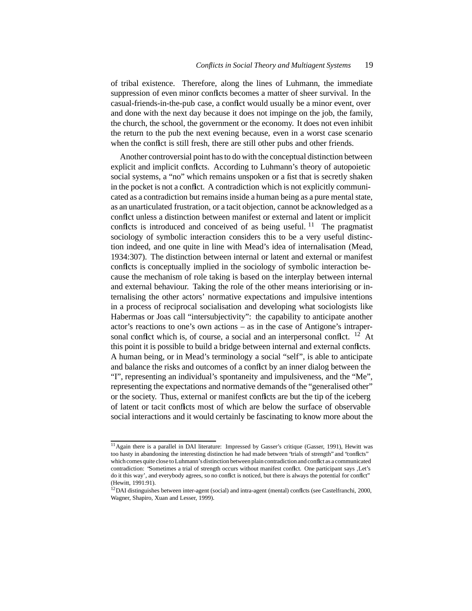of tribal existence. Therefore, along the lines of Luhmann, the immediate suppression of even minor conflicts becomes a matter of sheer survival. In the casual-friends-in-the-pub case, a conflict would usually be a minor event, over and done with the next day because it does not impinge on the job, the family, the church, the school, the government or the economy. It does not even inhibit the return to the pub the next evening because, even in a worst case scenario when the conflict is still fresh, there are still other pubs and other friends.

Another controversial point hasto do with the conceptual distinction between explicit and implicit conflicts. According to Luhmann's theory of autopoietic social systems, a "no" which remains unspoken or a fist that is secretly shaken in the pocket is not a conflict. A contradiction which is not explicitly communicated as a contradiction but remains inside a human being as a pure mental state, as an unarticulated frustration, or a tacit objection, cannot be acknowledged as a conflict unless a distinction between manifest or external and latent or implicit conflicts is introduced and conceived of as being useful. <sup>11</sup> The pragmatist sociology of symbolic interaction considers this to be a very useful distinction indeed, and one quite in line with Mead's idea of internalisation (Mead, 1934:307). The distinction between internal or latent and external or manifest conflicts is conceptually implied in the sociology of symbolic interaction because the mechanism of role taking is based on the interplay between internal and external behaviour. Taking the role of the other means interiorising or internalising the other actors' normative expectations and impulsive intentions in a process of reciprocal socialisation and developing what sociologists like Habermas or Joas call "intersubjectivity": the capability to anticipate another actor's reactions to one's own actions – as in the case of Antigone's intrapersonal conflict which is, of course, a social and an interpersonal conflict.  $12$  At this point it is possible to build a bridge between internal and external conflcts. A human being, or in Mead's terminology a social "self", is able to anticipate and balance the risks and outcomes of a conflict by an inner dialog between the "I", representing an individual's spontaneity and impulsiveness, and the "Me", representing the expectations and normative demands of the "generalised other" or the society. Thus, external or manifest conflicts are but the tip of the iceberg of latent or tacit conflicts most of which are below the surface of observable social interactions and it would certainly be fascinating to know more about the

<sup>&</sup>lt;sup>11</sup> Again there is a parallel in DAI literature: Impressed by Gasser's critique (Gasser, 1991), Hewitt was too hasty in abandoning the interesting distinction he had made between 'trials of strength' and 'conflcts' which comes quite close toLuhmann's distinction between plain contradiction and conflict as a communicated contradiction: "Sometimes a trial of strength occurs without manifest conflict. One participant says 'Let's do it this way', and everybody agrees, so no conflict is noticed, but there is always the potential for conflict" (Hewitt, 1991:91).

 $12$ DAI distinguishes between inter-agent (social) and intra-agent (mental) conflicts (see Castelfranchi, 2000, Wagner, Shapiro, Xuan and Lesser, 1999).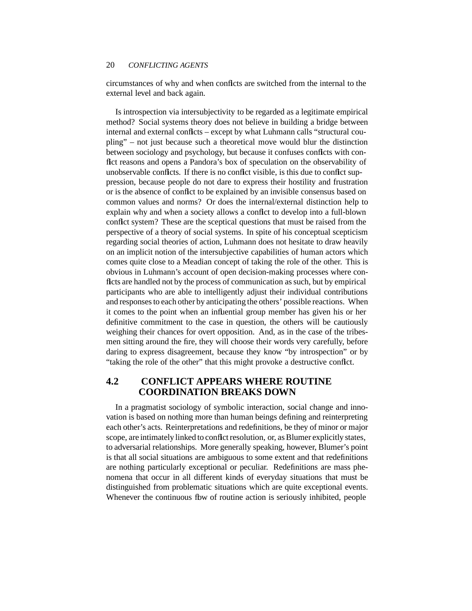circumstances of why and when conflicts are switched from the internal to the external level and back again.

Is introspection via intersubjectivity to be regarded as a legitimate empirical method? Social systems theory does not believe in building a bridge between internal and external conflicts – except by what Luhmann calls "structural coupling" – not just because such a theoretical move would blur the distinction between sociology and psychology, but because it confuses conflicts with conflict reasons and opens a Pandora's box of speculation on the observability of unobservable conflicts. If there is no conflict visible, is this due to conflict suppression, because people do not dare to express their hostility and frustration or is the absence of conflict to be explained by an invisible consensus based on common values and norms? Or does the internal/external distinction help to explain why and when a society allows a conflict to develop into a full-blown conflict system? These are the sceptical questions that must be raised from the perspective of a theory of social systems. In spite of his conceptual scepticism regarding social theories of action, Luhmann does not hesitate to draw heavily on an implicit notion of the intersubjective capabilities of human actors which comes quite close to a Meadian concept of taking the role of the other. This is obvious in Luhmann's account of open decision-making processes where conflicts are handled not by the process of communication as such, but by empirical participants who are able to intelligently adjust their individual contributions and responses to each other by anticipating the others' possible reactions. When it comes to the point when an influential group member has given his or her definitive commitment to the case in question, the others will be cautiously weighing their chances for overt opposition. And, as in the case of the tribesmen sitting around the fire, they will choose their words very carefully, before daring to express disagreement, because they know "by introspection" or by "taking the role of the other" that this might provoke a destructive conflict.

# **4.2 CONFLICT APPEARS WHERE ROUTINE COORDINATION BREAKS DOWN**

In a pragmatist sociology of symbolic interaction, social change and innovation is based on nothing more than human beings defining and reinterpreting each other's acts. Reinterpretations and redefinitions, be they of minor or major scope, are intimately linked to conflict resolution, or, as Blumer explicitly states, to adversarial relationships. More generally speaking, however, Blumer's point is that all social situations are ambiguous to some extent and that redefinitions are nothing particularly exceptional or peculiar. Redefinitions are mass phenomena that occur in all different kinds of everyday situations that must be distinguished from problematic situations which are quite exceptional events. Whenever the continuous flow of routine action is seriously inhibited, people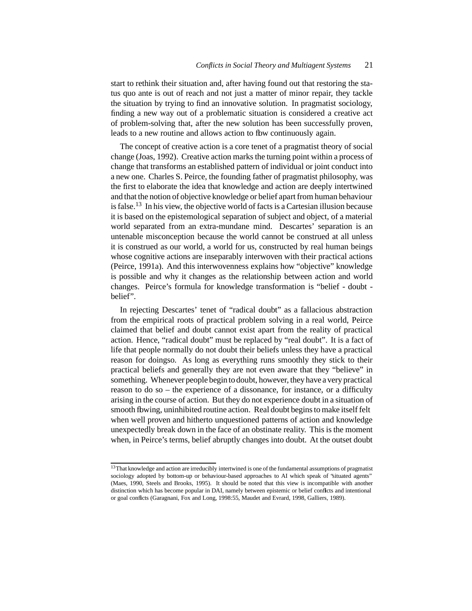start to rethink their situation and, after having found out that restoring the status quo ante is out of reach and not just a matter of minor repair, they tackle the situation by trying to find an innovative solution. In pragmatist sociology, finding a new way out of a problematic situation is considered a creative act of problem-solving that, after the new solution has been successfully proven, leads to a new routine and allows action to fbw continuously again.

The concept of creative action is a core tenet of a pragmatist theory of social change (Joas, 1992). Creative action marks the turning point within a process of change that transforms an established pattern of individual or joint conduct into a new one. Charles S. Peirce, the founding father of pragmatist philosophy, was the first to elaborate the idea that knowledge and action are deeply intertwined and that the notion of objective knowledge or belief apart from human behaviour is false.<sup>13</sup> In his view, the objective world of facts is a Cartesian illusion because it is based on the epistemological separation of subject and object, of a material world separated from an extra-mundane mind. Descartes' separation is an untenable misconception because the world cannot be construed at all unless it is construed as our world, a world for us, constructed by real human beings whose cognitive actions are inseparably interwoven with their practical actions (Peirce, 1991a). And this interwovenness explains how "objective" knowledge is possible and why it changes as the relationship between action and world changes. Peirce's formula for knowledge transformation is "belief - doubt belief".

In rejecting Descartes' tenet of "radical doubt" as a fallacious abstraction from the empirical roots of practical problem solving in a real world, Peirce claimed that belief and doubt cannot exist apart from the reality of practical action. Hence, "radical doubt" must be replaced by "real doubt". It is a fact of life that people normally do not doubt their beliefs unless they have a practical reason for doingso. As long as everything runs smoothly they stick to their practical beliefs and generally they are not even aware that they "believe" in something. Whenever people begin to doubt, however, they have a very practical reason to do so – the experience of a dissonance, for instance, or a difficulty arising in the course of action. But they do not experience doubt in a situation of smooth fbwing, uninhibited routine action. Real doubt begins to make itself felt when well proven and hitherto unquestioned patterns of action and knowledge unexpectedly break down in the face of an obstinate reality. This is the moment when, in Peirce's terms, belief abruptly changes into doubt. At the outset doubt

 $13$ That knowledge and action are irreducibly intertwined is one of the fundamental assumptions of pragmatist sociology adopted by bottom-up or behaviour-based approaches to AI which speak of "situated agents" (Maes, 1990, Steels and Brooks, 1995). It should be noted that this view is incompatible with another distinction which has become popular in DAI, namely between epistemic or belief conflicts and intentional or goal conflicts (Garagnani, Fox and Long, 1998:55, Maudet and Evrard, 1998, Galliers, 1989).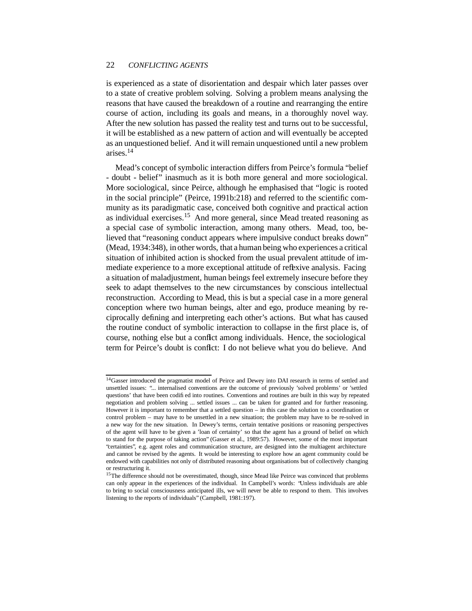is experienced as a state of disorientation and despair which later passes over to a state of creative problem solving. Solving a problem means analysing the reasons that have caused the breakdown of a routine and rearranging the entire course of action, including its goals and means, in a thoroughly novel way. After the new solution has passed the reality test and turns out to be successful, it will be established as a new pattern of action and will eventually be accepted as an unquestioned belief. And it will remain unquestioned until a new problem arises.<sup>14</sup>

Mead's concept of symbolic interaction differs from Peirce's formula "belief - doubt - belief" inasmuch as it is both more general and more sociological. More sociological, since Peirce, although he emphasised that "logic is rooted in the social principle" (Peirce, 1991b:218) and referred to the scientific community as its paradigmatic case, conceived both cognitive and practical action as individual exercises.<sup>15</sup> And more general, since Mead treated reasoning as a special case of symbolic interaction, among many others. Mead, too, believed that "reasoning conduct appears where impulsive conduct breaks down" (Mead, 1934:348), in other words, that a human being who experiences a critical situation of inhibited action is shocked from the usual prevalent attitude of immediate experience to a more exceptional attitude of reflexive analysis. Facing a situation of maladjustment, human beings feel extremely insecure before they seek to adapt themselves to the new circumstances by conscious intellectual reconstruction. According to Mead, this is but a special case in a more general conception where two human beings, alter and ego, produce meaning by reciprocally defining and interpreting each other's actions. But what has caused the routine conduct of symbolic interaction to collapse in the first place is, of course, nothing else but a conflict among individuals. Hence, the sociological term for Peirce's doubt is conflict: I do not believe what you do believe. And

<sup>14</sup>Gasser introduced the pragmatist model of Peirce and Dewey into DAI research in terms of settled and unsettled issues: "... internalised conventions are the outcome of previously 'solved problems' or 'settled questions' that have been codified into routines. Conventions and routines are built in this way by repeated negotiation and problem solving ... settled issues ... can be taken for granted and for further reasoning. However it is important to remember that a settled question – in this case the solution to a coordination or control problem – may have to be unsettled in a new situation; the problem may have to be re-solved in a new way for the new situation. In Dewey's terms, certain tentative positions or reasoning perspectives of the agent will have to be given a 'loan of certainty' so that the agent has a ground of belief on which to stand for the purpose of taking action" (Gasser et al., 1989:57). However, some of the most important "certainties", e.g. agent roles and communication structure, are designed into the multiagent architecture and cannot be revised by the agents. It would be interesting to explore how an agent community could be endowed with capabilities not only of distributed reasoning about organisations but of collectively changing or restructuring it.

<sup>&</sup>lt;sup>15</sup>The difference should not be overestimated, though, since Mead like Peirce was convinced that problems can only appear in the experiences of the individual. In Campbell's words: "Unless individuals are able to bring to social consciousness anticipated ills, we will never be able to respond to them. This involves listening to the reports of individuals" (Campbell, 1981:197).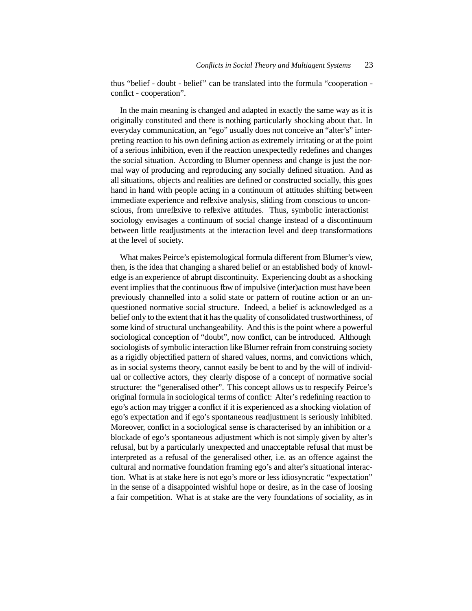thus "belief - doubt - belief" can be translated into the formula "cooperation conflict - cooperation".

In the main meaning is changed and adapted in exactly the same way as it is originally constituted and there is nothing particularly shocking about that. In everyday communication, an "ego" usually does not conceive an "alter's" interpreting reaction to his own defining action as extremely irritating or at the point of a serious inhibition, even if the reaction unexpectedly redefines and changes the social situation. According to Blumer openness and change is just the normal way of producing and reproducing any socially defined situation. And as all situations, objects and realities are defined or constructed socially, this goes hand in hand with people acting in a continuum of attitudes shifting between immediate experience and reflexive analysis, sliding from conscious to unconscious, from unreflexive to reflexive attitudes. Thus, symbolic interactionist sociology envisages a continuum of social change instead of a discontinuum between little readjustments at the interaction level and deep transformations at the level of society.

What makes Peirce's epistemological formula different from Blumer's view, then, is the idea that changing a shared belief or an established body of knowledge is an experience of abrupt discontinuity. Experiencing doubt as a shocking event implies that the continuous flow of impulsive (inter)action must have been previously channelled into a solid state or pattern of routine action or an unquestioned normative social structure. Indeed, a belief is acknowledged as a belief only to the extent that it has the quality of consolidated trustworthiness, of some kind of structural unchangeability. And this is the point where a powerful sociological conception of "doubt", now conflict, can be introduced. Although sociologists of symbolic interaction like Blumer refrain from construing society as a rigidly objectified pattern of shared values, norms, and convictions which, as in social systems theory, cannot easily be bent to and by the will of individual or collective actors, they clearly dispose of a concept of normative social structure: the "generalised other". This concept allows us to respecify Peirce's original formula in sociological terms of conflict: Alter's redefining reaction to ego's action may trigger a conflict if it is experienced as a shocking violation of ego's expectation and if ego's spontaneous readjustment is seriously inhibited. Moreover, conflict in a sociological sense is characterised by an inhibition or a blockade of ego's spontaneous adjustment which is not simply given by alter's refusal, but by a particularly unexpected and unacceptable refusal that must be interpreted as a refusal of the generalised other, i.e. as an offence against the cultural and normative foundation framing ego's and alter's situational interaction. What is at stake here is not ego's more or less idiosyncratic "expectation" in the sense of a disappointed wishful hope or desire, as in the case of loosing a fair competition. What is at stake are the very foundations of sociality, as in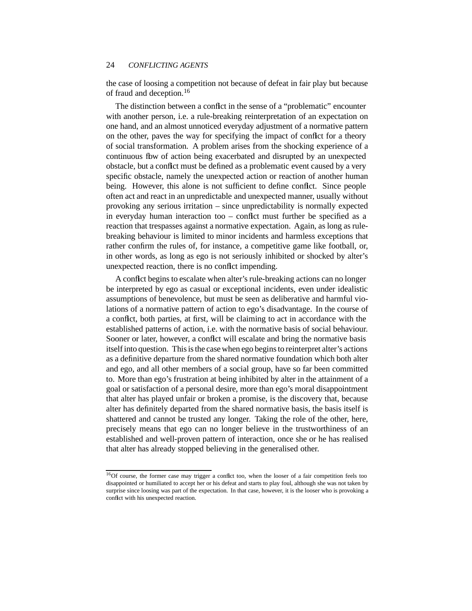the case of loosing a competition not because of defeat in fair play but because of fraud and deception.<sup>16</sup>

The distinction between a conflict in the sense of a "problematic" encounter with another person, i.e. a rule-breaking reinterpretation of an expectation on one hand, and an almost unnoticed everyday adjustment of a normative pattern on the other, paves the way for specifying the impact of conflict for a theory of social transformation. A problem arises from the shocking experience of a continuous fbw of action being exacerbated and disrupted by an unexpected obstacle, but a conflict must be defined as a problematic event caused by a very specific obstacle, namely the unexpected action or reaction of another human being. However, this alone is not sufficient to define conflct. Since people often act and react in an unpredictable and unexpected manner, usually without provoking any serious irritation – since unpredictability is normally expected in everyday human interaction too  $-$  conflict must further be specified as a reaction that trespasses against a normative expectation. Again, as long as rulebreaking behaviour is limited to minor incidents and harmless exceptions that rather confirm the rules of, for instance, a competitive game like football, or, in other words, as long as ego is not seriously inhibited or shocked by alter's unexpected reaction, there is no conflict impending.

A conflict begins to escalate when alter's rule-breaking actions can no longer be interpreted by ego as casual or exceptional incidents, even under idealistic assumptions of benevolence, but must be seen as deliberative and harmful violations of a normative pattern of action to ego's disadvantage. In the course of a conflict, both parties, at first, will be claiming to act in accordance with the established patterns of action, i.e. with the normative basis of social behaviour. Sooner or later, however, a conflict will escalate and bring the normative basis itself into question. This is the case when ego begins to reinterpret alter's actions as a definitive departure from the shared normative foundation which both alter and ego, and all other members of a social group, have so far been committed to. More than ego's frustration at being inhibited by alter in the attainment of a goal or satisfaction of a personal desire, more than ego's moral disappointment that alter has played unfair or broken a promise, is the discovery that, because alter has definitely departed from the shared normative basis, the basis itself is shattered and cannot be trusted any longer. Taking the role of the other, here, precisely means that ego can no longer believe in the trustworthiness of an established and well-proven pattern of interaction, once she or he has realised that alter has already stopped believing in the generalised other.

<sup>&</sup>lt;sup>16</sup>Of course, the former case may trigger a conflct too, when the looser of a fair competition feels too disappointed or humiliated to accept her or his defeat and starts to play foul, although she was not taken by surprise since loosing was part of the expectation. In that case, however, it is the looser who is provoking a conflct with his unexpected reaction.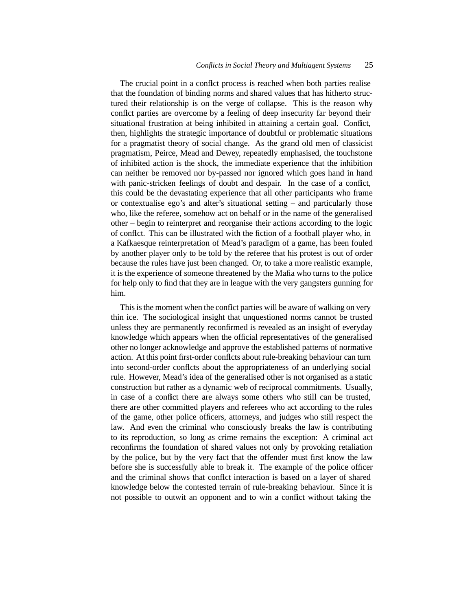The crucial point in a conflict process is reached when both parties realise that the foundation of binding norms and shared values that has hitherto structured their relationship is on the verge of collapse. This is the reason why conflict parties are overcome by a feeling of deep insecurity far beyond their situational frustration at being inhibited in attaining a certain goal. Conflict, then, highlights the strategic importance of doubtful or problematic situations for a pragmatist theory of social change. As the grand old men of classicist pragmatism, Peirce, Mead and Dewey, repeatedly emphasised, the touchstone of inhibited action is the shock, the immediate experience that the inhibition can neither be removed nor by-passed nor ignored which goes hand in hand with panic-stricken feelings of doubt and despair. In the case of a conflict, this could be the devastating experience that all other participants who frame or contextualise ego's and alter's situational setting – and particularly those who, like the referee, somehow act on behalf or in the name of the generalised other – begin to reinterpret and reorganise their actions according to the logic of conflict. This can be illustrated with the fiction of a football player who, in a Kafkaesque reinterpretation of Mead's paradigm of a game, has been fouled by another player only to be told by the referee that his protest is out of order because the rules have just been changed. Or, to take a more realistic example, it is the experience of someone threatened by the Mafia who turns to the police for help only to find that they are in league with the very gangsters gunning for him.

This is the moment when the conflict parties will be aware of walking on very thin ice. The sociological insight that unquestioned norms cannot be trusted unless they are permanently reconfirmed is revealed as an insight of everyday knowledge which appears when the official representatives of the generalised other no longer acknowledge and approve the established patterns of normative action. At this point first-order conflicts about rule-breaking behaviour can turn into second-order conflicts about the appropriateness of an underlying social rule. However, Mead's idea of the generalised other is not organised as a static construction but rather as a dynamic web of reciprocal commitments. Usually, in case of a conflict there are always some others who still can be trusted, there are other committed players and referees who act according to the rules of the game, other police officers, attorneys, and judges who still respect the law. And even the criminal who consciously breaks the law is contributing to its reproduction, so long as crime remains the exception: A criminal act reconfirms the foundation of shared values not only by provoking retaliation by the police, but by the very fact that the offender must first know the law before she is successfully able to break it. The example of the police officer and the criminal shows that conflict interaction is based on a layer of shared knowledge below the contested terrain of rule-breaking behaviour. Since it is not possible to outwit an opponent and to win a conflict without taking the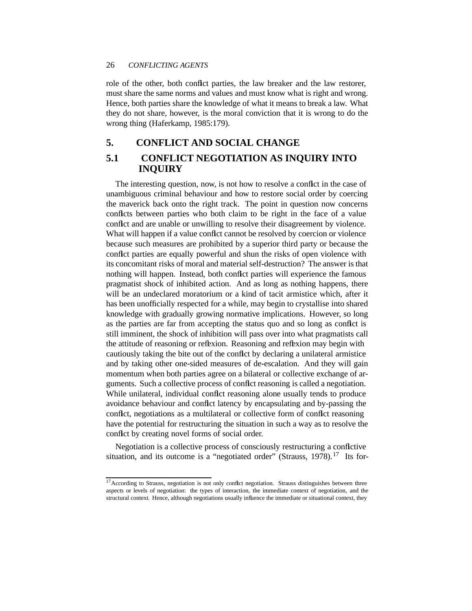role of the other, both conflict parties, the law breaker and the law restorer, must share the same norms and values and must know what is right and wrong. Hence, both parties share the knowledge of what it means to break a law. What they do not share, however, is the moral conviction that it is wrong to do the wrong thing (Haferkamp, 1985:179).

### **5. CONFLICT AND SOCIAL CHANGE**

# **5.1 CONFLICT NEGOTIATION AS INQUIRY INTO INQUIRY**

The interesting question, now, is not how to resolve a conflict in the case of unambiguous criminal behaviour and how to restore social order by coercing the maverick back onto the right track. The point in question now concerns conflicts between parties who both claim to be right in the face of a value conflict and are unable or unwilling to resolve their disagreement by violence. What will happen if a value conflict cannot be resolved by coercion or violence because such measures are prohibited by a superior third party or because the conflict parties are equally powerful and shun the risks of open violence with its concomitant risks of moral and material self-destruction? The answer is that nothing will happen. Instead, both conflict parties will experience the famous pragmatist shock of inhibited action. And as long as nothing happens, there will be an undeclared moratorium or a kind of tacit armistice which, after it has been unofficially respected for a while, may begin to crystallise into shared knowledge with gradually growing normative implications. However, so long as the parties are far from accepting the status quo and so long as conflict is still imminent, the shock of inhibition will pass over into what pragmatists call the attitude of reasoning or reflexion. Reasoning and reflexion may begin with cautiously taking the bite out of the conflict by declaring a unilateral armistice and by taking other one-sided measures of de-escalation. And they will gain momentum when both parties agree on a bilateral or collective exchange of arguments. Such a collective process of conflict reasoning is called a negotiation. While unilateral, individual conflict reasoning alone usually tends to produce avoidance behaviour and conflict latency by encapsulating and by-passing the conflict, negotiations as a multilateral or collective form of conflict reasoning have the potential for restructuring the situation in such a way as to resolve the conflict by creating novel forms of social order.

Negotiation is a collective process of consciously restructuring a conflictive situation, and its outcome is a "negotiated order" (Strauss,  $1978$ ).<sup>17</sup> Its for-

<sup>&</sup>lt;sup>17</sup>According to Strauss, negotiation is not only conflict negotiation. Strauss distinguishes between three aspects or levels of negotiation: the types of interaction, the immediate context of negotiation, and the structural context. Hence, although negotiations usually influence the immediate or situational context, they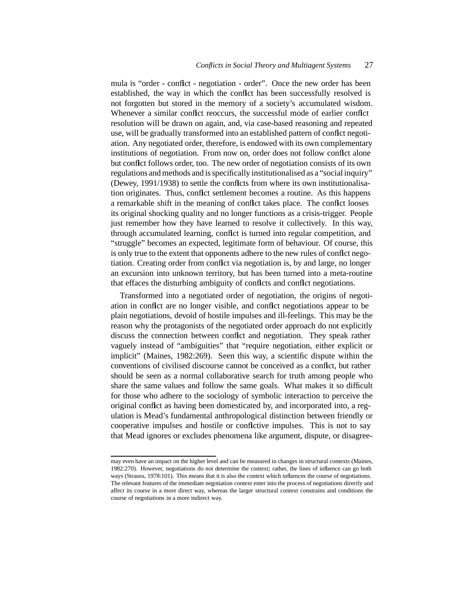mula is "order - conflict - negotiation - order". Once the new order has been established, the way in which the conflict has been successfully resolved is not forgotten but stored in the memory of a society's accumulated wisdom. Whenever a similar conflict reoccurs, the successful mode of earlier conflict resolution will be drawn on again, and, via case-based reasoning and repeated use, will be gradually transformed into an established pattern of conflict negotiation. Any negotiated order, therefore, is endowed with its own complementary institutions of negotiation. From now on, order does not follow conflict alone but conflict follows order, too. The new order of negotiation consists of its own regulations and methods and is specifically institutionalised as a "social inquiry" (Dewey, 1991/1938) to settle the conflicts from where its own institutionalisation originates. Thus, conflict settlement becomes a routine. As this happens a remarkable shift in the meaning of conflct takes place. The conflct looses its original shocking quality and no longer functions as a crisis-trigger. People just remember how they have learned to resolve it collectively. In this way, through accumulated learning, conflct is turned into regular competition, and "struggle" becomes an expected, legitimate form of behaviour. Of course, this is only true to the extent that opponents adhere to the new rules of conflict negotiation. Creating order from conflict via negotiation is, by and large, no longer an excursion into unknown territory, but has been turned into a meta-routine that effaces the disturbing ambiguity of conflicts and conflict negotiations.

Transformed into a negotiated order of negotiation, the origins of negotiation in conflict are no longer visible, and conflict negotiations appear to be plain negotiations, devoid of hostile impulses and ill-feelings. This may be the reason why the protagonists of the negotiated order approach do not explicitly discuss the connection between conflict and negotiation. They speak rather vaguely instead of "ambiguities" that "require negotiation, either explicit or implicit" (Maines, 1982:269). Seen this way, a scientific dispute within the conventions of civilised discourse cannot be conceived as a conflict, but rather should be seen as a normal collaborative search for truth among people who share the same values and follow the same goals. What makes it so difficult for those who adhere to the sociology of symbolic interaction to perceive the original conflict as having been domesticated by, and incorporated into, a regulation is Mead's fundamental anthropological distinction between friendly or cooperative impulses and hostile or conflictive impulses. This is not to say that Mead ignores or excludes phenomena like argument, dispute, or disagree-

may even have an impact on the higher level and can be measured in changes in structural contexts (Maines, 1982:270). However, negotiations do not determine the context; rather, the lines of influence can go both ways (Strauss, 1978:101). This means that it is also the context which influences the course of negotiations. The relevant features of the immediate negotiation context enter into the process of negotiations directly and affect its course in a more direct way, whereas the larger structural context constrains and conditions the course of negotiations in a more indirect way.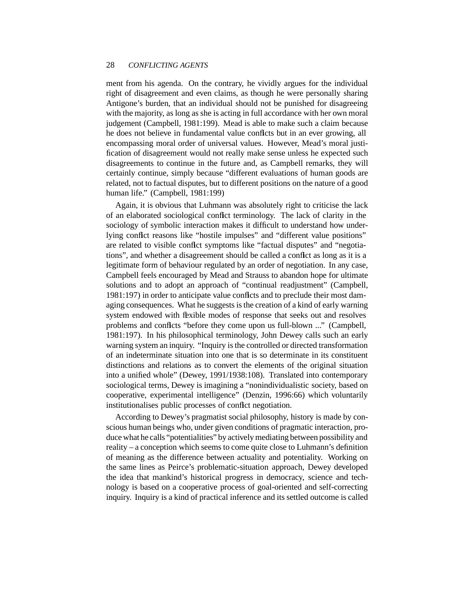ment from his agenda. On the contrary, he vividly argues for the individual right of disagreement and even claims, as though he were personally sharing Antigone's burden, that an individual should not be punished for disagreeing with the majority, as long as she is acting in full accordance with her own moral judgement (Campbell, 1981:199). Mead is able to make such a claim because he does not believe in fundamental value conflicts but in an ever growing, all encompassing moral order of universal values. However, Mead's moral justification of disagreement would not really make sense unless he expected such disagreements to continue in the future and, as Campbell remarks, they will certainly continue, simply because "different evaluations of human goods are related, not to factual disputes, but to different positions on the nature of a good human life." (Campbell, 1981:199)

Again, it is obvious that Luhmann was absolutely right to criticise the lack of an elaborated sociological conflict terminology. The lack of clarity in the sociology of symbolic interaction makes it difficult to understand how underlying conflict reasons like "hostile impulses" and "different value positions" are related to visible conflict symptoms like "factual disputes" and "negotiations", and whether a disagreement should be called a conflict as long as it is a legitimate form of behaviour regulated by an order of negotiation. In any case, Campbell feels encouraged by Mead and Strauss to abandon hope for ultimate solutions and to adopt an approach of "continual readjustment" (Campbell, 1981:197) in order to anticipate value conflicts and to preclude their most damaging consequences. What he suggests isthe creation of a kind of early warning system endowed with flexible modes of response that seeks out and resolves problems and conflicts "before they come upon us full-blown ..." (Campbell, 1981:197). In his philosophical terminology, John Dewey calls such an early warning system an inquiry. "Inquiry isthe controlled or directed transformation of an indeterminate situation into one that is so determinate in its constituent distinctions and relations as to convert the elements of the original situation into a unified whole" (Dewey, 1991/1938:108). Translated into contemporary sociological terms, Dewey is imagining a "nonindividualistic society, based on cooperative, experimental intelligence" (Denzin, 1996:66) which voluntarily institutionalises public processes of conflict negotiation.

According to Dewey's pragmatist social philosophy, history is made by conscious human beings who, under given conditions of pragmatic interaction, produce what he calls "potentialities" by activelymediating between possibility and reality – a conception which seems to come quite close to Luhmann's definition of meaning as the difference between actuality and potentiality. Working on the same lines as Peirce's problematic-situation approach, Dewey developed the idea that mankind's historical progress in democracy, science and technology is based on a cooperative process of goal-oriented and self-correcting inquiry. Inquiry is a kind of practical inference and its settled outcome is called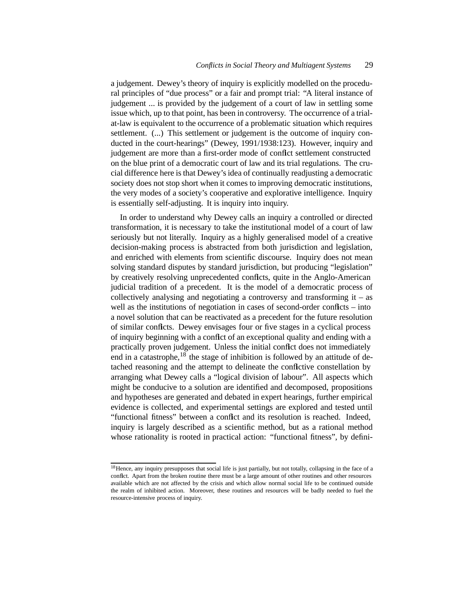a judgement. Dewey's theory of inquiry is explicitly modelled on the procedural principles of "due process" or a fair and prompt trial: "A literal instance of judgement ... is provided by the judgement of a court of law in settling some issue which, up to that point, has been in controversy. The occurrence of a trialat-law is equivalent to the occurrence of a problematic situation which requires settlement. (...) This settlement or judgement is the outcome of inquiry conducted in the court-hearings" (Dewey, 1991/1938:123). However, inquiry and judgement are more than a first-order mode of conflct settlement constructed on the blue print of a democratic court of law and its trial regulations. The crucial difference here is that Dewey'sidea of continually readjusting a democratic society does not stop short when it comes to improving democratic institutions, the very modes of a society's cooperative and explorative intelligence. Inquiry is essentially self-adjusting. It is inquiry into inquiry.

In order to understand why Dewey calls an inquiry a controlled or directed transformation, it is necessary to take the institutional model of a court of law seriously but not literally. Inquiry as a highly generalised model of a creative decision-making process is abstracted from both jurisdiction and legislation, and enriched with elements from scientific discourse. Inquiry does not mean solving standard disputes by standard jurisdiction, but producing "legislation" by creatively resolving unprecedented conflicts, quite in the Anglo-American judicial tradition of a precedent. It is the model of a democratic process of collectively analysing and negotiating a controversy and transforming it – as well as the institutions of negotiation in cases of second-order conflicts – into a novel solution that can be reactivated as a precedent for the future resolution of similar conflicts. Dewey envisages four or five stages in a cyclical process of inquiry beginning with a conflict of an exceptional quality and ending with a practically proven judgement. Unless the initial conflct does not immediately end in a catastrophe, $^{18}$  the stage of inhibition is followed by an attitude of detached reasoning and the attempt to delineate the conflictive constellation by arranging what Dewey calls a "logical division of labour". All aspects which might be conducive to a solution are identified and decomposed, propositions and hypotheses are generated and debated in expert hearings, further empirical evidence is collected, and experimental settings are explored and tested until "functional fitness" between a conflict and its resolution is reached. Indeed, inquiry is largely described as a scientific method, but as a rational method whose rationality is rooted in practical action: "functional fitness", by defini-

 $18$ Hence, any inquiry presupposes that social life is just partially, but not totally, collapsing in the face of a conflict. Apart from the broken routine there must be a large amount of other routines and other resources available which are not affected by the crisis and which allow normal social life to be continued outside the realm of inhibited action. Moreover, these routines and resources will be badly needed to fuel the resource-intensive process of inquiry.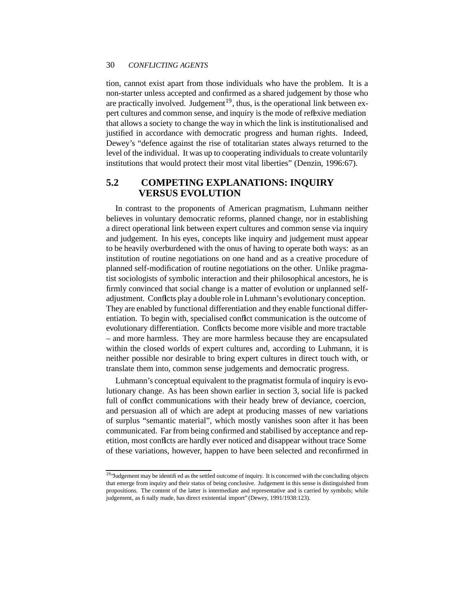tion, cannot exist apart from those individuals who have the problem. It is a non-starter unless accepted and confirmed as a shared judgement by those who are practically involved. Judgement<sup>19</sup>, thus, is the operational link between expert cultures and common sense, and inquiry is the mode of reflexive mediation that allows a society to change the way in which the link is institutionalised and justified in accordance with democratic progress and human rights. Indeed, Dewey's "defence against the rise of totalitarian states always returned to the level of the individual. It was up to cooperating individuals to create voluntarily institutions that would protect their most vital liberties" (Denzin, 1996:67).

# **5.2 COMPETING EXPLANATIONS: INQUIRY VERSUS EVOLUTION**

In contrast to the proponents of American pragmatism, Luhmann neither believes in voluntary democratic reforms, planned change, nor in establishing a direct operational link between expert cultures and common sense via inquiry and judgement. In his eyes, concepts like inquiry and judgement must appear to be heavily overburdened with the onus of having to operate both ways: as an institution of routine negotiations on one hand and as a creative procedure of planned self-modification of routine negotiations on the other. Unlike pragmatist sociologists of symbolic interaction and their philosophical ancestors, he is firmly convinced that social change is a matter of evolution or unplanned selfadjustment. Conflicts play a double role in Luhmann's evolutionary conception. They are enabled by functional differentiation and they enable functional differentiation. To begin with, specialised conflict communication is the outcome of evolutionary differentiation. Conflcts become more visible and more tractable – and more harmless. They are more harmless because they are encapsulated within the closed worlds of expert cultures and, according to Luhmann, it is neither possible nor desirable to bring expert cultures in direct touch with, or translate them into, common sense judgements and democratic progress.

Luhmann's conceptual equivalent to the pragmatist formula of inquiry is evolutionary change. As has been shown earlier in section 3, social life is packed full of conflict communications with their heady brew of deviance, coercion, and persuasion all of which are adept at producing masses of new variations of surplus "semantic material", which mostly vanishes soon after it has been communicated. Far from being confirmed and stabilised by acceptance and repetition, most conflicts are hardly ever noticed and disappear without trace Some of these variations, however, happen to have been selected and reconfirmed in

<sup>&</sup>lt;sup>19</sup>'Judgement may be identified as the settled outcome of inquiry. It is concerned with the concluding objects that emerge from inquiry and their status of being conclusive. Judgement in this sense is distinguished from propositions. The content of the latter is intermediate and representative and is carried by symbols; while judgement, as finally made, has direct existential import" (Dewey, 1991/1938:123).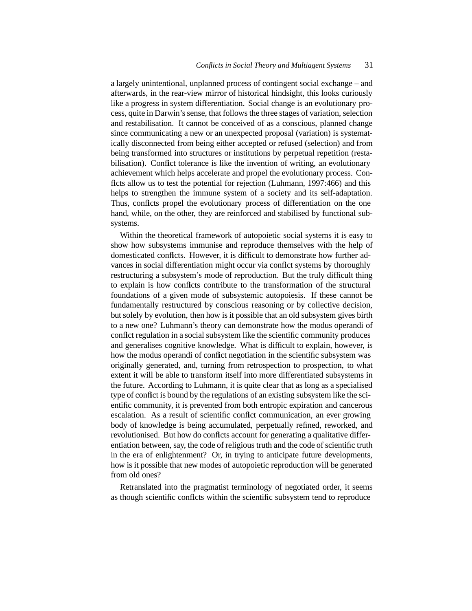a largely unintentional, unplanned process of contingent social exchange – and afterwards, in the rear-view mirror of historical hindsight, this looks curiously like a progress in system differentiation. Social change is an evolutionary process, quite in Darwin'ssense, that follows the three stages of variation, selection and restabilisation. It cannot be conceived of as a conscious, planned change since communicating a new or an unexpected proposal (variation) is systematically disconnected from being either accepted or refused (selection) and from being transformed into structures or institutions by perpetual repetition (restabilisation). Conflict tolerance is like the invention of writing, an evolutionary achievement which helps accelerate and propel the evolutionary process. Conficts allow us to test the potential for rejection (Luhmann, 1997:466) and this helps to strengthen the immune system of a society and its self-adaptation. Thus, conflicts propel the evolutionary process of differentiation on the one hand, while, on the other, they are reinforced and stabilised by functional subsystems.

Within the theoretical framework of autopoietic social systems it is easy to show how subsystems immunise and reproduce themselves with the help of domesticated conflicts. However, it is difficult to demonstrate how further advances in social differentiation might occur via conflict systems by thoroughly restructuring a subsystem's mode of reproduction. But the truly difficult thing to explain is how conflicts contribute to the transformation of the structural foundations of a given mode of subsystemic autopoiesis. If these cannot be fundamentally restructured by conscious reasoning or by collective decision, but solely by evolution, then how is it possible that an old subsystem gives birth to a new one? Luhmann's theory can demonstrate how the modus operandi of conflct regulation in a social subsystem like the scientific community produces and generalises cognitive knowledge. What is difficult to explain, however, is how the modus operandi of conflict negotiation in the scientific subsystem was originally generated, and, turning from retrospection to prospection, to what extent it will be able to transform itself into more differentiated subsystems in the future. According to Luhmann, it is quite clear that as long as a specialised type of conflict is bound by the regulations of an existing subsystem like the scientific community, it is prevented from both entropic expiration and cancerous escalation. As a result of scientific conflict communication, an ever growing body of knowledge is being accumulated, perpetually refined, reworked, and revolutionised. But how do conflicts account for generating a qualitative differentiation between, say, the code of religious truth and the code of scientific truth in the era of enlightenment? Or, in trying to anticipate future developments, how is it possible that new modes of autopoietic reproduction will be generated from old ones?

Retranslated into the pragmatist terminology of negotiated order, it seems as though scientific conflcts within the scientific subsystem tend to reproduce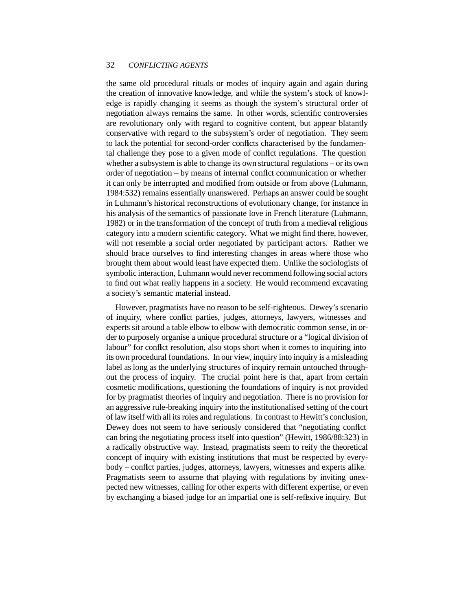the same old procedural rituals or modes of inquiry again and again during the creation of innovative knowledge, and while the system's stock of knowledge is rapidly changing it seems as though the system's structural order of negotiation always remains the same. In other words, scientific controversies are revolutionary only with regard to cognitive content, but appear blatantly conservative with regard to the subsystem's order of negotiation. They seem to lack the potential for second-order conflicts characterised by the fundamental challenge they pose to a given mode of conflict regulations. The question whether a subsystem is able to change its own structural regulations – or its own order of negotiation – by means of internal conflict communication or whether it can only be interrupted and modified from outside or from above (Luhmann, 1984:532) remains essentially unanswered. Perhaps an answer could be sought in Luhmann's historical reconstructions of evolutionary change, for instance in his analysis of the semantics of passionate love in French literature (Luhmann, 1982) or in the transformation of the concept of truth from a medieval religious category into a modern scientific category. What we might find there, however, will not resemble a social order negotiated by participant actors. Rather we should brace ourselves to find interesting changes in areas where those who brought them about would least have expected them. Unlike the sociologists of symbolic interaction, Luhmann would neverrecommend following social actors to find out what really happens in a society. He would recommend excavating a society's semantic material instead.

However, pragmatists have no reason to be self-righteous. Dewey's scenario of inquiry, where conflict parties, judges, attorneys, lawyers, witnesses and experts sit around a table elbow to elbow with democratic common sense, in order to purposely organise a unique procedural structure or a "logical division of labour" for conflet resolution, also stops short when it comes to inquiring into its own procedural foundations. In our view, inquiry into inquiry is a misleading label as long as the underlying structures of inquiry remain untouched throughout the process of inquiry. The crucial point here is that, apart from certain cosmetic modifications, questioning the foundations of inquiry is not provided for by pragmatist theories of inquiry and negotiation. There is no provision for an aggressive rule-breaking inquiry into the institutionalised setting of the court of law itself with all itsroles and regulations. In contrast to Hewitt's conclusion, Dewey does not seem to have seriously considered that "negotiating conflict can bring the negotiating process itself into question" (Hewitt, 1986/88:323) in a radically obstructive way. Instead, pragmatists seem to reify the theoretical concept of inquiry with existing institutions that must be respected by everybody – conflict parties, judges, attorneys, lawyers, witnesses and experts alike. Pragmatists seem to assume that playing with regulations by inviting unexpected new witnesses, calling for other experts with different expertise, or even by exchanging a biased judge for an impartial one is self-reflexive inquiry. But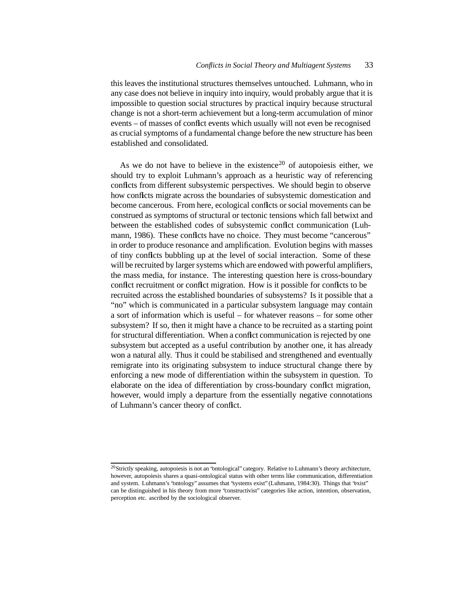this leaves the institutional structures themselves untouched. Luhmann, who in any case does not believe in inquiry into inquiry, would probably argue that it is impossible to question social structures by practical inquiry because structural change is not a short-term achievement but a long-term accumulation of minor events – of masses of conflict events which usually will not even be recognised as crucial symptoms of a fundamental change before the new structure has been established and consolidated.

As we do not have to believe in the existence<sup>20</sup> of autopoiesis either, we should try to exploit Luhmann's approach as a heuristic way of referencing conflicts from different subsystemic perspectives. We should begin to observe how conflicts migrate across the boundaries of subsystemic domestication and become cancerous. From here, ecological conflicts or social movements can be construed as symptoms of structural or tectonic tensions which fall betwixt and between the established codes of subsystemic conflict communication (Luhmann, 1986). These conflicts have no choice. They must become "cancerous" in order to produce resonance and amplification. Evolution begins with masses of tiny conflicts bubbling up at the level of social interaction. Some of these will be recruited by larger systems which are endowed with powerful amplifiers, the mass media, for instance. The interesting question here is cross-boundary conflict recruitment or conflict migration. How is it possible for conflicts to be recruited across the established boundaries of subsystems? Is it possible that a "no" which is communicated in a particular subsystem language may contain a sort of information which is useful – for whatever reasons – for some other subsystem? If so, then it might have a chance to be recruited as a starting point for structural differentiation. When a conflict communication is rejected by one subsystem but accepted as a useful contribution by another one, it has already won a natural ally. Thus it could be stabilised and strengthened and eventually remigrate into its originating subsystem to induce structural change there by enforcing a new mode of differentiation within the subsystem in question. To elaborate on the idea of differentiation by cross-boundary conflict migration, however, would imply a departure from the essentially negative connotations of Luhmann's cancer theory of conflict.

 $^{20}$ Strictly speaking, autopoiesis is not an 'ontological' category. Relative to Luhmann's theory architecture, however, autopoiesis shares a quasi-ontological status with other terms like communication, differentiation and system. Luhmann's "ontology" assumes that "systems exist" (Luhmann, 1984:30). Things that "exist" can be distinguished in his theory from more "constructivist" categories like action, intention, observation, perception etc. ascribed by the sociological observer.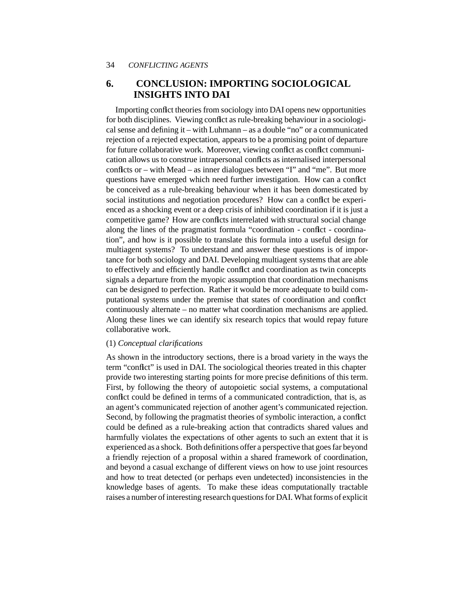### **6. CONCLUSION: IMPORTING SOCIOLOGICAL INSIGHTS INTO DAI**

Importing conflict theories from sociology into DAI opens new opportunities for both disciplines. Viewing conflict as rule-breaking behaviour in a sociological sense and defining it – with Luhmann – as a double "no" or a communicated rejection of a rejected expectation, appears to be a promising point of departure for future collaborative work. Moreover, viewing conflict as conflict communication allows us to construe intrapersonal conflicts as internalised interpersonal conflicts or – with Mead – as inner dialogues between "I" and "me". But more questions have emerged which need further investigation. How can a conflict be conceived as a rule-breaking behaviour when it has been domesticated by social institutions and negotiation procedures? How can a conflict be experienced as a shocking event or a deep crisis of inhibited coordination if it is just a competitive game? How are conflicts interrelated with structural social change along the lines of the pragmatist formula "coordination - conflict - coordination", and how is it possible to translate this formula into a useful design for multiagent systems? To understand and answer these questions is of importance for both sociology and DAI. Developing multiagent systems that are able to effectively and efficiently handle conflct and coordination as twin concepts signals a departure from the myopic assumption that coordination mechanisms can be designed to perfection. Rather it would be more adequate to build computational systems under the premise that states of coordination and conflict continuously alternate – no matter what coordination mechanisms are applied. Along these lines we can identify six research topics that would repay future collaborative work.

#### (1) *Conceptual clarifications*

As shown in the introductory sections, there is a broad variety in the ways the term "conflict" is used in DAI. The sociological theories treated in this chapter provide two interesting starting points for more precise definitions of this term. First, by following the theory of autopoietic social systems, a computational conflict could be defined in terms of a communicated contradiction, that is, as an agent's communicated rejection of another agent's communicated rejection. Second, by following the pragmatist theories of symbolic interaction, a conflict could be defined as a rule-breaking action that contradicts shared values and harmfully violates the expectations of other agents to such an extent that it is experienced as a shock. Both definitions offer a perspective that goes far beyond a friendly rejection of a proposal within a shared framework of coordination, and beyond a casual exchange of different views on how to use joint resources and how to treat detected (or perhaps even undetected) inconsistencies in the knowledge bases of agents. To make these ideas computationally tractable raises a number of interesting research questions for DAI. What forms of explicit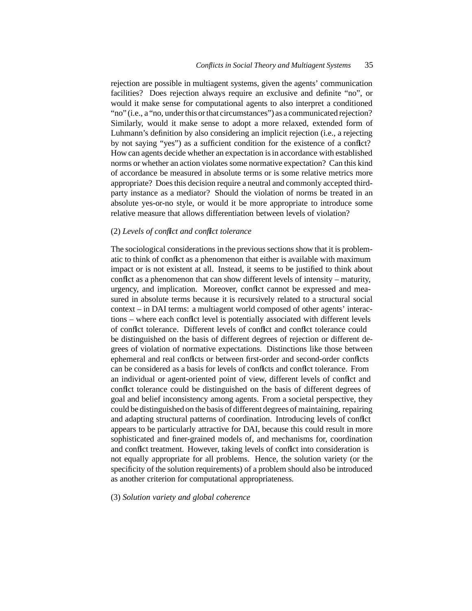rejection are possible in multiagent systems, given the agents' communication facilities? Does rejection always require an exclusive and definite "no", or would it make sense for computational agents to also interpret a conditioned "no" (i.e., a "no, under this or that circumstances") as a communicated rejection? Similarly, would it make sense to adopt a more relaxed, extended form of Luhmann's definition by also considering an implicit rejection (i.e., a rejecting by not saying "yes") as a sufficient condition for the existence of a conflict? How can agents decide whether an expectation is in accordance with established norms or whether an action violates some normative expectation? Can this kind of accordance be measured in absolute terms or is some relative metrics more appropriate? Doesthis decision require a neutral and commonly accepted thirdparty instance as a mediator? Should the violation of norms be treated in an absolute yes-or-no style, or would it be more appropriate to introduce some relative measure that allows differentiation between levels of violation?

#### (2) *Levels of conflict and conflict tolerance*

The sociological considerations in the previous sections show that it is problematic to think of conflict as a phenomenon that either is available with maximum impact or is not existent at all. Instead, it seems to be justified to think about conflict as a phenomenon that can show different levels of intensity – maturity, urgency, and implication. Moreover, conflict cannot be expressed and measured in absolute terms because it is recursively related to a structural social context – in DAI terms: a multiagent world composed of other agents' interactions – where each conflict level is potentially associated with different levels of conflict tolerance. Different levels of conflict and conflict tolerance could be distinguished on the basis of different degrees of rejection or different degrees of violation of normative expectations. Distinctions like those between ephemeral and real conflicts or between first-order and second-order conflicts can be considered as a basis for levels of conflicts and conflict tolerance. From an individual or agent-oriented point of view, different levels of conflict and conflict tolerance could be distinguished on the basis of different degrees of goal and belief inconsistency among agents. From a societal perspective, they could be distinguished on the basis of different degrees of maintaining, repairing and adapting structural patterns of coordination. Introducing levels of conflct appears to be particularly attractive for DAI, because this could result in more sophisticated and finer-grained models of, and mechanisms for, coordination and conflict treatment. However, taking levels of conflict into consideration is not equally appropriate for all problems. Hence, the solution variety (or the specificity of the solution requirements) of a problem should also be introduced as another criterion for computational appropriateness.

### (3) *Solution variety and global coherence*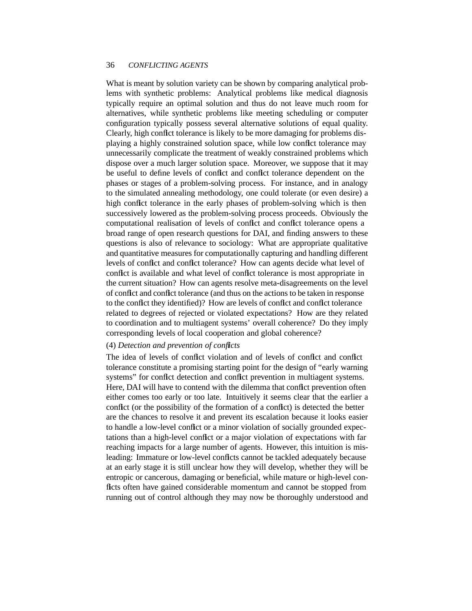What is meant by solution variety can be shown by comparing analytical problems with synthetic problems: Analytical problems like medical diagnosis typically require an optimal solution and thus do not leave much room for alternatives, while synthetic problems like meeting scheduling or computer configuration typically possess several alternative solutions of equal quality. Clearly, high conflict tolerance is likely to be more damaging for problems displaying a highly constrained solution space, while low conflct tolerance may unnecessarily complicate the treatment of weakly constrained problems which dispose over a much larger solution space. Moreover, we suppose that it may be useful to define levels of conflct and conflct tolerance dependent on the phases or stages of a problem-solving process. For instance, and in analogy to the simulated annealing methodology, one could tolerate (or even desire) a high conflict tolerance in the early phases of problem-solving which is then successively lowered as the problem-solving process proceeds. Obviously the computational realisation of levels of conflct and conflct tolerance opens a broad range of open research questions for DAI, and finding answers to these questions is also of relevance to sociology: What are appropriate qualitative and quantitative measures for computationally capturing and handling different levels of conflict and conflict tolerance? How can agents decide what level of conflict is available and what level of conflict tolerance is most appropriate in the current situation? How can agents resolve meta-disagreements on the level of conflict and conflict tolerance (and thus on the actions to be taken in response to the conflict they identified)? How are levels of conflict and conflict tolerance related to degrees of rejected or violated expectations? How are they related to coordination and to multiagent systems' overall coherence? Do they imply corresponding levels of local cooperation and global coherence?

### (4) *Detection and prevention of conflicts*

The idea of levels of conflict violation and of levels of conflict and conflict tolerance constitute a promising starting point for the design of "early warning systems" for conflct detection and conflct prevention in multiagent systems. Here, DAI will have to contend with the dilemma that conflict prevention often either comes too early or too late. Intuitively it seems clear that the earlier a conflict (or the possibility of the formation of a conflict) is detected the better are the chances to resolve it and prevent its escalation because it looks easier to handle a low-level conflict or a minor violation of socially grounded expectations than a high-level conflict or a major violation of expectations with far reaching impacts for a large number of agents. However, this intuition is misleading: Immature or low-level conflicts cannot be tackled adequately because at an early stage it is still unclear how they will develop, whether they will be entropic or cancerous, damaging or beneficial, while mature or high-level conflicts often have gained considerable momentum and cannot be stopped from running out of control although they may now be thoroughly understood and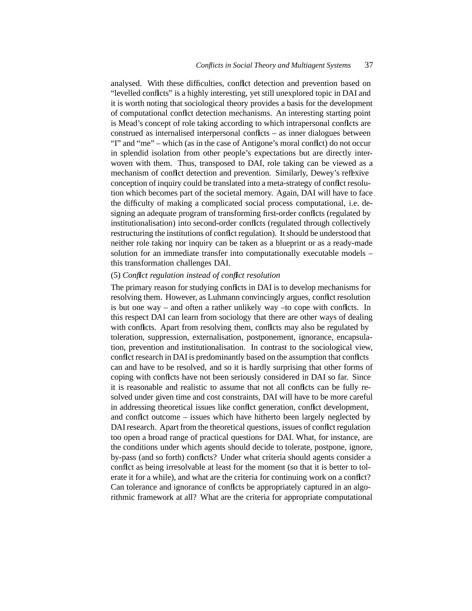analysed. With these difficulties, conflict detection and prevention based on "levelled conflicts" is a highly interesting, yet still unexplored topic in DAI and it is worth noting that sociological theory provides a basis for the development of computational conflict detection mechanisms. An interesting starting point is Mead's concept of role taking according to which intrapersonal conflcts are construed as internalised interpersonal conflicts – as inner dialogues between "I" and "me" – which (as in the case of Antigone's moral conflict) do not occur in splendid isolation from other people's expectations but are directly interwoven with them. Thus, transposed to DAI, role taking can be viewed as a mechanism of conflct detection and prevention. Similarly, Dewey's reflexive conception of inquiry could be translated into a meta-strategy of conflict resolution which becomes part of the societal memory. Again, DAI will have to face the difficulty of making a complicated social process computational, i.e. designing an adequate program of transforming first-order conflicts (regulated by institutionalisation) into second-order conflicts (regulated through collectively restructuring the institutions of conflict regulation). It should be understood that neither role taking nor inquiry can be taken as a blueprint or as a ready-made solution for an immediate transfer into computationally executable models – this transformation challenges DAI.

#### (5) *Conflict regulation instead of conflict resolution*

The primary reason for studying conflicts in DAI is to develop mechanisms for resolving them. However, as Luhmann convincingly argues, conflict resolution is but one way – and often a rather unlikely way –to cope with conflicts. In this respect DAI can learn from sociology that there are other ways of dealing with conflicts. Apart from resolving them, conflicts may also be regulated by toleration, suppression, externalisation, postponement, ignorance, encapsulation, prevention and institutionalisation. In contrast to the sociological view, conflict research in DAI is predominantly based on the assumption that conflicts can and have to be resolved, and so it is hardly surprising that other forms of coping with conflcts have not been seriously considered in DAI so far. Since it is reasonable and realistic to assume that not all conflicts can be fully resolved under given time and cost constraints, DAI will have to be more careful in addressing theoretical issues like conflict generation, conflict development, and conflict outcome – issues which have hitherto been largely neglected by DAI research. Apart from the theoretical questions, issues of conflict regulation too open a broad range of practical questions for DAI. What, for instance, are the conditions under which agents should decide to tolerate, postpone, ignore, by-pass (and so forth) conflicts? Under what criteria should agents consider a conflict as being irresolvable at least for the moment (so that it is better to tolerate it for a while), and what are the criteria for continuing work on a conflict? Can tolerance and ignorance of conflicts be appropriately captured in an algorithmic framework at all? What are the criteria for appropriate computational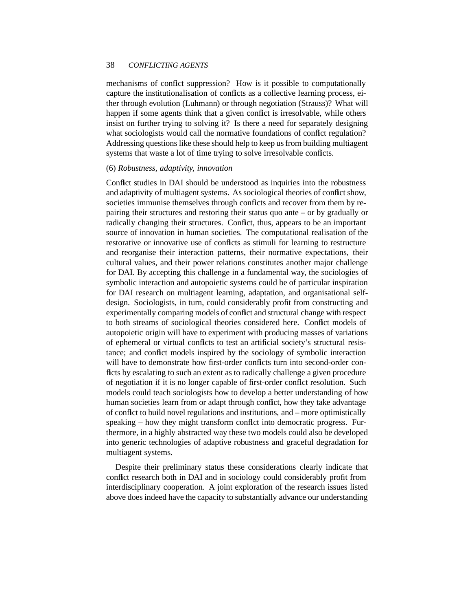mechanisms of conflict suppression? How is it possible to computationally capture the institutionalisation of conflicts as a collective learning process, either through evolution (Luhmann) or through negotiation (Strauss)? What will happen if some agents think that a given conflict is irresolvable, while others insist on further trying to solving it? Is there a need for separately designing what sociologists would call the normative foundations of conflict regulation? Addressing questions like these should help to keep us from building multiagent systems that waste a lot of time trying to solve irresolvable conflcts.

#### (6) *Robustness, adaptivity, innovation*

Conflict studies in DAI should be understood as inquiries into the robustness and adaptivity of multiagent systems. As sociological theories of conflict show, societies immunise themselves through conflicts and recover from them by repairing their structures and restoring their status quo ante – or by gradually or radically changing their structures. Conflict, thus, appears to be an important source of innovation in human societies. The computational realisation of the restorative or innovative use of conflicts as stimuli for learning to restructure and reorganise their interaction patterns, their normative expectations, their cultural values, and their power relations constitutes another major challenge for DAI. By accepting this challenge in a fundamental way, the sociologies of symbolic interaction and autopoietic systems could be of particular inspiration for DAI research on multiagent learning, adaptation, and organisational selfdesign. Sociologists, in turn, could considerably profit from constructing and experimentally comparing models of conflict and structural change with respect to both streams of sociological theories considered here. Conflct models of autopoietic origin will have to experiment with producing masses of variations of ephemeral or virtual conflicts to test an artificial society's structural resistance; and conflict models inspired by the sociology of symbolic interaction will have to demonstrate how first-order conflicts turn into second-order conflicts by escalating to such an extent as to radically challenge a given procedure of negotiation if it is no longer capable of first-order conflict resolution. Such models could teach sociologists how to develop a better understanding of how human societies learn from or adapt through conflict, how they take advantage of conflict to build novel regulations and institutions, and – more optimistically speaking – how they might transform conflict into democratic progress. Furthermore, in a highly abstracted way these two models could also be developed into generic technologies of adaptive robustness and graceful degradation for multiagent systems.

Despite their preliminary status these considerations clearly indicate that conflict research both in DAI and in sociology could considerably profit from interdisciplinary cooperation. A joint exploration of the research issues listed above does indeed have the capacity to substantially advance our understanding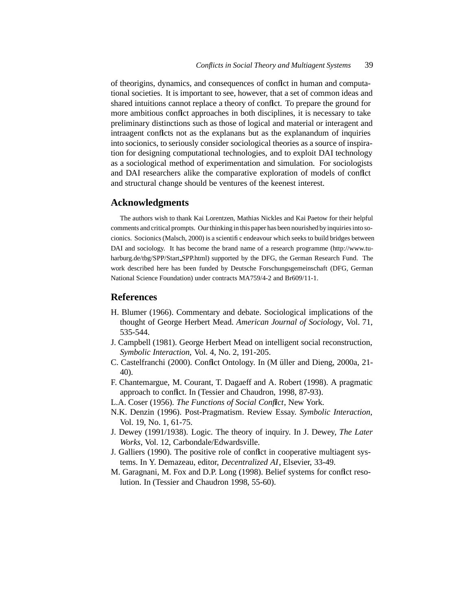of theorigins, dynamics, and consequences of conflict in human and computational societies. It is important to see, however, that a set of common ideas and shared intuitions cannot replace a theory of conflict. To prepare the ground for more ambitious conflict approaches in both disciplines, it is necessary to take preliminary distinctions such as those of logical and material or interagent and intraagent conflicts not as the explanans but as the explanandum of inquiries into socionics, to seriously consider sociological theories as a source of inspiration for designing computational technologies, and to exploit DAI technology as a sociological method of experimentation and simulation. For sociologists and DAI researchers alike the comparative exploration of models of conflct and structural change should be ventures of the keenest interest.

### **Acknowledgments**

The authors wish to thank Kai Lorentzen, Mathias Nickles and Kai Paetow for their helpful comments and critical prompts. Our thinking in this paper has been nourished by inquiries into socionics. Socionics(Malsch, 2000) is a scientific endeavour which seeks to build bridges between DAI and sociology. It has become the brand name of a research programme (http://www.tuharburg.de/tbg/SPP/Start SPP.html) supported by the DFG, the German Research Fund. The work described here has been funded by Deutsche Forschungsgemeinschaft (DFG, German National Science Foundation) under contracts MA759/4-2 and Br609/11-1.

### **References**

- H. Blumer (1966). Commentary and debate. Sociological implications of the thought of George Herbert Mead. *American Journal of Sociology*, Vol. 71, 535-544.
- J. Campbell (1981). George Herbert Mead on intelligent social reconstruction, *Symbolic Interaction*, Vol. 4, No. 2, 191-205.
- C. Castelfranchi (2000). Conflict Ontology. In (M üller and Dieng, 2000a, 21-40).
- F. Chantemargue, M. Courant, T. Dagaeff and A. Robert (1998). A pragmatic approach to conflict. In (Tessier and Chaudron, 1998, 87-93).
- L.A. Coser (1956). *The Functions of Social Conflict*, New York.
- N.K. Denzin (1996). Post-Pragmatism. Review Essay. *Symbolic Interaction*, Vol. 19, No. 1, 61-75.
- J. Dewey (1991/1938). Logic. The theory of inquiry. In J. Dewey, *The Later Works*, Vol. 12, Carbondale/Edwardsville.
- J. Galliers (1990). The positive role of conflict in cooperative multiagent systems. In Y. Demazeau, editor, *Decentralized AI*, Elsevier, 33-49.
- M. Garagnani, M. Fox and D.P. Long (1998). Belief systems for conflict resolution. In (Tessier and Chaudron 1998, 55-60).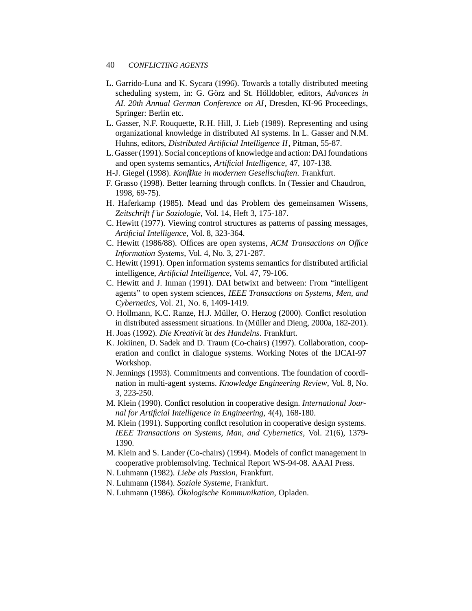- L. Garrido-Luna and K. Sycara (1996). Towards a totally distributed meeting scheduling system, in: G. Görz and St. Hölldobler, editors, *Advances in AI. 20th Annual German Conference on AI*, Dresden, KI-96 Proceedings, Springer: Berlin etc.
- L. Gasser, N.F. Rouquette, R.H. Hill, J. Lieb (1989). Representing and using organizational knowledge in distributed AI systems. In L. Gasser and N.M. Huhns, editors, *Distributed Artificial Intelligence II*, Pitman, 55-87.
- L. Gasser (1991). Social conceptions of knowledge and action: DAI foundations and open systems semantics, *Artificial Intelligence*, 47, 107-138.
- H-J. Giegel (1998). *Konflikte in modernen Gesellschaften*. Frankfurt.
- F. Grasso (1998). Better learning through conflicts. In (Tessier and Chaudron, 1998, 69-75).
- H. Haferkamp (1985). Mead und das Problem des gemeinsamen Wissens, *Zeitschrift f¨ur Soziologie*, Vol. 14, Heft 3, 175-187.
- C. Hewitt (1977). Viewing control structures as patterns of passing messages, *Artificial Intelligence*, Vol. 8, 323-364.
- C. Hewitt (1986/88). Offices are open systems, *ACM Transactions on Office Information Systems*, Vol. 4, No. 3, 271-287.
- C. Hewitt (1991). Open information systems semantics for distributed artificial intelligence, *Artificial Intelligence*, Vol. 47, 79-106.
- C. Hewitt and J. Inman (1991). DAI betwixt and between: From "intelligent agents" to open system sciences, *IEEE Transactions on Systems, Men, and Cybernetics*, Vol. 21, No. 6, 1409-1419.
- O. Hollmann, K.C. Ranze, H.J. Müller, O. Herzog (2000). Conflet resolution in distributed assessment situations. In (Müller and Dieng, 2000a, 182-201).
- H. Joas (1992). *Die Kreativit¨at des Handelns*. Frankfurt.
- K. Jokiinen, D. Sadek and D. Traum (Co-chairs) (1997). Collaboration, cooperation and conflict in dialogue systems. Working Notes of the IJCAI-97 Workshop.
- N. Jennings (1993). Commitments and conventions. The foundation of coordination in multi-agent systems. *Knowledge Engineering Review*, Vol. 8, No. 3, 223-250.
- M. Klein (1990). Conflict resolution in cooperative design. *International Journal for Artificial Intelligence in Engineering*, 4(4), 168-180.
- M. Klein (1991). Supporting conflict resolution in cooperative design systems. *IEEE Transactions on Systems, Man, and Cybernetics*, Vol. 21(6), 1379- 1390.
- M. Klein and S. Lander (Co-chairs) (1994). Models of conflct management in cooperative problemsolving. Technical Report WS-94-08. AAAI Press.
- N. Luhmann (1982). *Liebe als Passion*, Frankfurt.
- N. Luhmann (1984). *Soziale Systeme*, Frankfurt.
- N. Luhmann (1986). *Ökologische Kommunikation*, Opladen.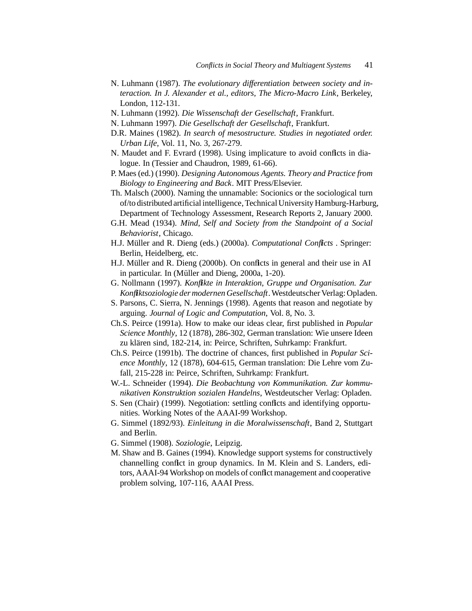- N. Luhmann (1987). *The evolutionary differentiation between society and interaction. In J. Alexander et al., editors, The Micro-Macro Link*, Berkeley, London, 112-131.
- N. Luhmann (1992). *Die Wissenschaft der Gesellschaft*, Frankfurt.
- N. Luhmann 1997). *Die Gesellschaft der Gesellschaft*, Frankfurt.
- D.R. Maines (1982). *In search of mesostructure. Studies in negotiated order. Urban Life*, Vol. 11, No. 3, 267-279.
- N. Maudet and F. Evrard (1998). Using implicature to avoid conflicts in dialogue. In (Tessier and Chaudron, 1989, 61-66).
- P. Maes (ed.) (1990). *Designing Autonomous Agents. Theory and Practice from Biology to Engineering and Back*. MIT Press/Elsevier.
- Th. Malsch (2000). Naming the unnamable: Socionics or the sociological turn of/to distributed artificial intelligence,TechnicalUniversityHamburg-Harburg, Department of Technology Assessment, Research Reports 2, January 2000.
- G.H. Mead (1934). *Mind, Self and Society from the Standpoint of a Social Behaviorist*, Chicago.
- H.J. Müller and R. Dieng (eds.) (2000a). *Computational Conflicts* . Springer: Berlin, Heidelberg, etc.
- H.J. Müller and R. Dieng (2000b). On conflicts in general and their use in AI in particular. In (Müller and Dieng,  $2000a$ , 1-20).
- G. Nollmann (1997). *Konflikte in Interaktion, Gruppe und Organisation. Zur* Konfliktsoziologie der modernen Gesellschaft. Westdeutscher Verlag: Opladen.
- S. Parsons, C. Sierra, N. Jennings (1998). Agents that reason and negotiate by arguing. *Journal of Logic and Computation*, Vol. 8, No. 3.
- Ch.S. Peirce (1991a). How to make our ideas clear, first published in *Popular Science Monthly*, 12 (1878), 286-302, German translation: Wie unsere Ideen zu klären sind, 182-214, in: Peirce, Schriften, Suhrkamp: Frankfurt.
- Ch.S. Peirce (1991b). The doctrine of chances, first published in *Popular Science Monthly*, 12 (1878), 604-615, German translation: Die Lehre vom Zufall, 215-228 in: Peirce, Schriften, Suhrkamp: Frankfurt.
- W.-L. Schneider (1994). *Die Beobachtung von Kommunikation. Zur kommunikativen Konstruktion sozialen Handelns*, Westdeutscher Verlag: Opladen.
- S. Sen (Chair) (1999). Negotiation: settling conflicts and identifying opportunities. Working Notes of the AAAI-99 Workshop.
- G. Simmel (1892/93). *Einleitung in die Moralwissenschaft*, Band 2, Stuttgart and Berlin.
- G. Simmel (1908). *Soziologie*, Leipzig.
- M. Shaw and B. Gaines (1994). Knowledge support systems for constructively channelling conflict in group dynamics. In M. Klein and S. Landers, editors, AAAI-94 Workshop on models of conflict management and cooperative problem solving, 107-116, AAAI Press.